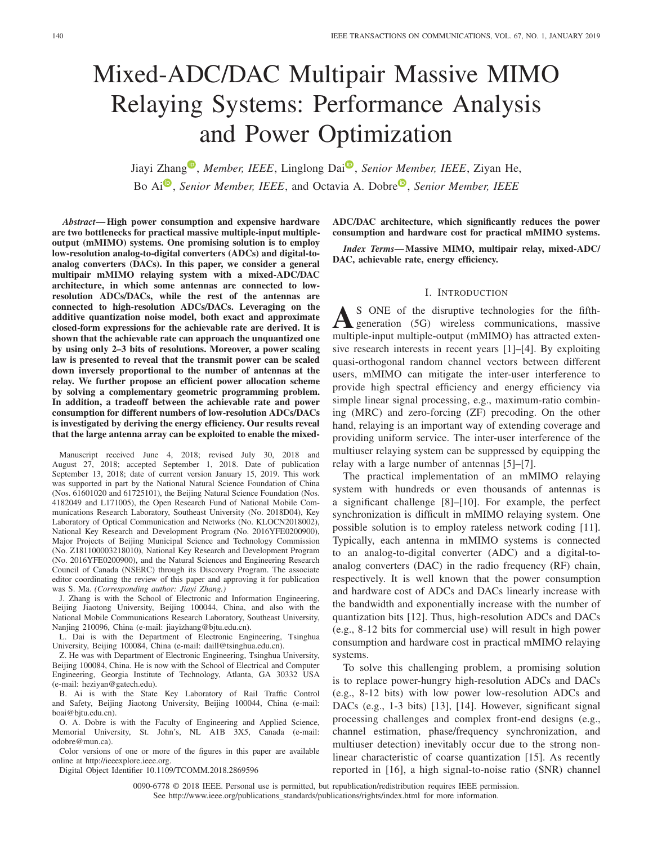# Mixed-ADC/DAC Multipair Massive MIMO Relaying Systems: Performance Analysis and Power Optimization

Jiayi Zhang<sup>®</sup>, *Member, IEEE*, Linglong Dai<sup>®</sup>, *Senior Member, IEEE*, Ziyan He, Bo Ai<sup>®</sup>, *S[e](https://orcid.org/0000-0001-8528-0512)nior Member, IEEE*, and Octavia A. Dobre<sup>®</sup>, *Senior Member, IEEE* 

*Abstract***— High power consumption and expensive hardware are two bottlenecks for practical massive multiple-input multipleoutput (mMIMO) systems. One promising solution is to employ low-resolution analog-to-digital converters (ADCs) and digital-toanalog converters (DACs). In this paper, we consider a general multipair mMIMO relaying system with a mixed-ADC/DAC architecture, in which some antennas are connected to lowresolution ADCs/DACs, while the rest of the antennas are connected to high-resolution ADCs/DACs. Leveraging on the additive quantization noise model, both exact and approximate closed-form expressions for the achievable rate are derived. It is shown that the achievable rate can approach the unquantized one by using only 2–3 bits of resolutions. Moreover, a power scaling law is presented to reveal that the transmit power can be scaled down inversely proportional to the number of antennas at the relay. We further propose an efficient power allocation scheme by solving a complementary geometric programming problem. In addition, a tradeoff between the achievable rate and power consumption for different numbers of low-resolution ADCs/DACs is investigated by deriving the energy efficiency. Our results reveal that the large antenna array can be exploited to enable the mixed-**

Manuscript received June 4, 2018; revised July 30, 2018 and August 27, 2018; accepted September 1, 2018. Date of publication September 13, 2018; date of current version January 15, 2019. This work was supported in part by the National Natural Science Foundation of China (Nos. 61601020 and 61725101), the Beijing Natural Science Foundation (Nos. 4182049 and L171005), the Open Research Fund of National Mobile Communications Research Laboratory, Southeast University (No. 2018D04), Key Laboratory of Optical Communication and Networks (No. KLOCN2018002), National Key Research and Development Program (No. 2016YFE0200900), Major Projects of Beijing Municipal Science and Technology Commission (No. Z181100003218010), National Key Research and Development Program (No. 2016YFE0200900), and the Natural Sciences and Engineering Research Council of Canada (NSERC) through its Discovery Program. The associate editor coordinating the review of this paper and approving it for publication was S. Ma. *(Corresponding author: Jiayi Zhang.)*

J. Zhang is with the School of Electronic and Information Engineering, Beijing Jiaotong University, Beijing 100044, China, and also with the National Mobile Communications Research Laboratory, Southeast University, Nanjing 210096, China (e-mail: jiayizhang@bjtu.edu.cn).

L. Dai is with the Department of Electronic Engineering, Tsinghua University, Beijing 100084, China (e-mail: daill@tsinghua.edu.cn).

Z. He was with Department of Electronic Engineering, Tsinghua University, Beijing 100084, China. He is now with the School of Electrical and Computer Engineering, Georgia Institute of Technology, Atlanta, GA 30332 USA (e-mail: heziyan@gatech.edu).

B. Ai is with the State Key Laboratory of Rail Traffic Control and Safety, Beijing Jiaotong University, Beijing 100044, China (e-mail: boai@bjtu.edu.cn).

O. A. Dobre is with the Faculty of Engineering and Applied Science, Memorial University, St. John's, NL A1B 3X5, Canada (e-mail: odobre@mun.ca).

Color versions of one or more of the figures in this paper are available online at http://ieeexplore.ieee.org.

Digital Object Identifier 10.1109/TCOMM.2018.2869596

**ADC/DAC architecture, which significantly reduces the power consumption and hardware cost for practical mMIMO systems.**

*Index Terms***— Massive MIMO, multipair relay, mixed-ADC/ DAC, achievable rate, energy efficiency.**

## I. INTRODUCTION

**A**S ONE of the disruptive technologies for the fifthgeneration (5G) wireless communications, massive multiple-input multiple-output (mMIMO) has attracted extensive research interests in recent years [1]–[4]. By exploiting quasi-orthogonal random channel vectors between different users, mMIMO can mitigate the inter-user interference to provide high spectral efficiency and energy efficiency via simple linear signal processing, e.g., maximum-ratio combining (MRC) and zero-forcing (ZF) precoding. On the other hand, relaying is an important way of extending coverage and providing uniform service. The inter-user interference of the multiuser relaying system can be suppressed by equipping the relay with a large number of antennas [5]–[7].

The practical implementation of an mMIMO relaying system with hundreds or even thousands of antennas is a significant challenge [8]–[10]. For example, the perfect synchronization is difficult in mMIMO relaying system. One possible solution is to employ rateless network coding [11]. Typically, each antenna in mMIMO systems is connected to an analog-to-digital converter (ADC) and a digital-toanalog converters (DAC) in the radio frequency (RF) chain, respectively. It is well known that the power consumption and hardware cost of ADCs and DACs linearly increase with the bandwidth and exponentially increase with the number of quantization bits [12]. Thus, high-resolution ADCs and DACs (e.g., 8-12 bits for commercial use) will result in high power consumption and hardware cost in practical mMIMO relaying systems.

To solve this challenging problem, a promising solution is to replace power-hungry high-resolution ADCs and DACs (e.g., 8-12 bits) with low power low-resolution ADCs and DACs (e.g., 1-3 bits) [13], [14]. However, significant signal processing challenges and complex front-end designs (e.g., channel estimation, phase/frequency synchronization, and multiuser detection) inevitably occur due to the strong nonlinear characteristic of coarse quantization [15]. As recently reported in [16], a high signal-to-noise ratio (SNR) channel

0090-6778 © 2018 IEEE. Personal use is permitted, but republication/redistribution requires IEEE permission. See http://www.ieee.org/publications\_standards/publications/rights/index.html for more information.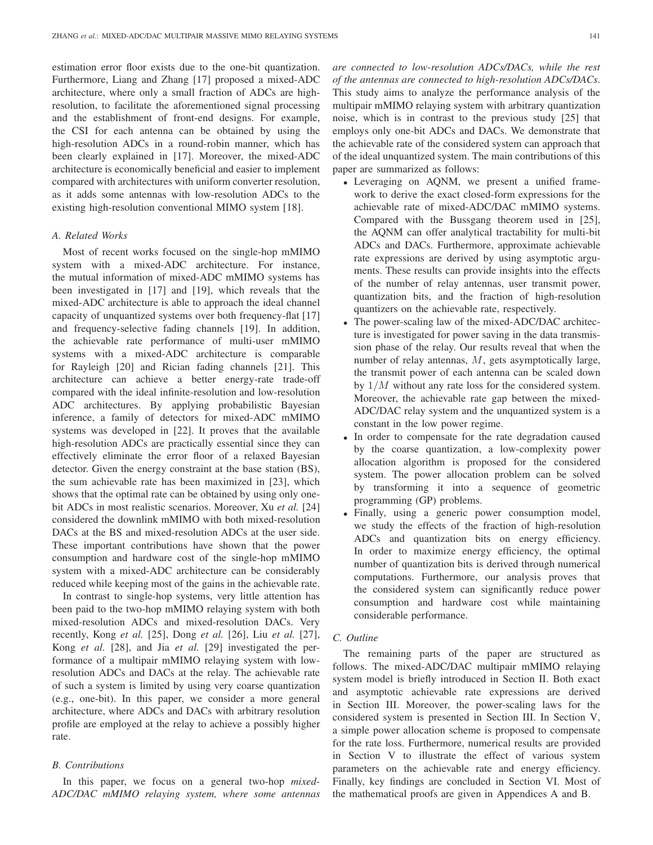estimation error floor exists due to the one-bit quantization. Furthermore, Liang and Zhang [17] proposed a mixed-ADC architecture, where only a small fraction of ADCs are highresolution, to facilitate the aforementioned signal processing and the establishment of front-end designs. For example, the CSI for each antenna can be obtained by using the high-resolution ADCs in a round-robin manner, which has been clearly explained in [17]. Moreover, the mixed-ADC architecture is economically beneficial and easier to implement compared with architectures with uniform converter resolution, as it adds some antennas with low-resolution ADCs to the existing high-resolution conventional MIMO system [18].

#### *A. Related Works*

Most of recent works focused on the single-hop mMIMO system with a mixed-ADC architecture. For instance, the mutual information of mixed-ADC mMIMO systems has been investigated in [17] and [19], which reveals that the mixed-ADC architecture is able to approach the ideal channel capacity of unquantized systems over both frequency-flat [17] and frequency-selective fading channels [19]. In addition, the achievable rate performance of multi-user mMIMO systems with a mixed-ADC architecture is comparable for Rayleigh [20] and Rician fading channels [21]. This architecture can achieve a better energy-rate trade-off compared with the ideal infinite-resolution and low-resolution ADC architectures. By applying probabilistic Bayesian inference, a family of detectors for mixed-ADC mMIMO systems was developed in [22]. It proves that the available high-resolution ADCs are practically essential since they can effectively eliminate the error floor of a relaxed Bayesian detector. Given the energy constraint at the base station (BS), the sum achievable rate has been maximized in [23], which shows that the optimal rate can be obtained by using only onebit ADCs in most realistic scenarios. Moreover, Xu *et al.* [24] considered the downlink mMIMO with both mixed-resolution DACs at the BS and mixed-resolution ADCs at the user side. These important contributions have shown that the power consumption and hardware cost of the single-hop mMIMO system with a mixed-ADC architecture can be considerably reduced while keeping most of the gains in the achievable rate.

In contrast to single-hop systems, very little attention has been paid to the two-hop mMIMO relaying system with both mixed-resolution ADCs and mixed-resolution DACs. Very recently, Kong *et al.* [25], Dong *et al.* [26], Liu *et al.* [27], Kong *et al.* [28], and Jia *et al.* [29] investigated the performance of a multipair mMIMO relaying system with lowresolution ADCs and DACs at the relay. The achievable rate of such a system is limited by using very coarse quantization (e.g., one-bit). In this paper, we consider a more general architecture, where ADCs and DACs with arbitrary resolution profile are employed at the relay to achieve a possibly higher rate.

#### *B. Contributions*

In this paper, we focus on a general two-hop *mixed-ADC/DAC mMIMO relaying system, where some antennas* *are connected to low-resolution ADCs/DACs, while the rest of the antennas are connected to high-resolution ADCs/DACs*. This study aims to analyze the performance analysis of the multipair mMIMO relaying system with arbitrary quantization noise, which is in contrast to the previous study [25] that employs only one-bit ADCs and DACs. We demonstrate that the achievable rate of the considered system can approach that of the ideal unquantized system. The main contributions of this paper are summarized as follows:

- Leveraging on AQNM, we present a unified framework to derive the exact closed-form expressions for the achievable rate of mixed-ADC/DAC mMIMO systems. Compared with the Bussgang theorem used in [25], the AQNM can offer analytical tractability for multi-bit ADCs and DACs. Furthermore, approximate achievable rate expressions are derived by using asymptotic arguments. These results can provide insights into the effects of the number of relay antennas, user transmit power, quantization bits, and the fraction of high-resolution quantizers on the achievable rate, respectively.
- The power-scaling law of the mixed-ADC/DAC architecture is investigated for power saving in the data transmission phase of the relay. Our results reveal that when the number of relay antennas,  $M$ , gets asymptotically large, the transmit power of each antenna can be scaled down by 1/M without any rate loss for the considered system. Moreover, the achievable rate gap between the mixed-ADC/DAC relay system and the unquantized system is a constant in the low power regime.
- In order to compensate for the rate degradation caused by the coarse quantization, a low-complexity power allocation algorithm is proposed for the considered system. The power allocation problem can be solved by transforming it into a sequence of geometric programming (GP) problems.
- Finally, using a generic power consumption model, we study the effects of the fraction of high-resolution ADCs and quantization bits on energy efficiency. In order to maximize energy efficiency, the optimal number of quantization bits is derived through numerical computations. Furthermore, our analysis proves that the considered system can significantly reduce power consumption and hardware cost while maintaining considerable performance.

# *C. Outline*

The remaining parts of the paper are structured as follows. The mixed-ADC/DAC multipair mMIMO relaying system model is briefly introduced in Section II. Both exact and asymptotic achievable rate expressions are derived in Section III. Moreover, the power-scaling laws for the considered system is presented in Section III. In Section V, a simple power allocation scheme is proposed to compensate for the rate loss. Furthermore, numerical results are provided in Section V to illustrate the effect of various system parameters on the achievable rate and energy efficiency. Finally, key findings are concluded in Section VI. Most of the mathematical proofs are given in Appendices A and B.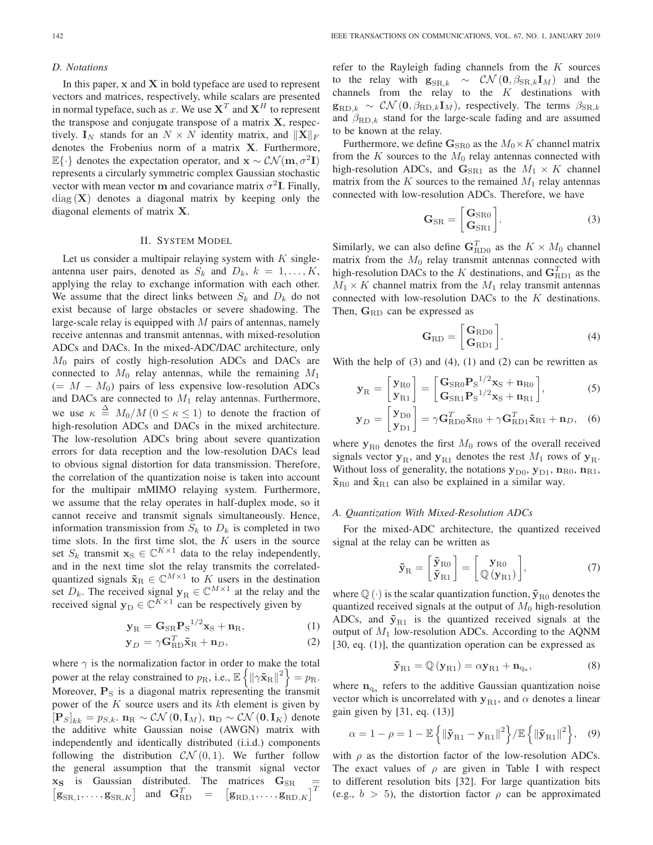## *D. Notations*

In this paper, **x** and **X** in bold typeface are used to represent vectors and matrices, respectively, while scalars are presented in normal typeface, such as x. We use  $X<sup>T</sup>$  and  $X<sup>H</sup>$  to represent the transpose and conjugate transpose of a matrix **X**, respectively.  $\mathbf{I}_N$  stands for an  $N \times N$  identity matrix, and  $||\mathbf{X}||_F$ <br>denotes the Erobenius norm of a matrix **X**. Furthermore denotes the Frobenius norm of a matrix **X**. Furthermore, <sup>E</sup>{·} denotes the expectation operator, and **<sup>x</sup>** ∼ CN (**m**, σ<sup>2</sup>**I**) represents a circularly symmetric complex Gaussian stochastic vector with mean vector **m** and covariance matrix  $\sigma^2$ **I**. Finally, diag (**X**) denotes a diagonal matrix by keeping only the diagonal elements of matrix **X**.

## II. SYSTEM MODEL

Let us consider a multipair relaying system with  $K$  singleantenna user pairs, denoted as  $S_k$  and  $D_k$ ,  $k = 1, \ldots, K$ , applying the relay to exchange information with each other. We assume that the direct links between  $S_k$  and  $D_k$  do not exist because of large obstacles or severe shadowing. The large-scale relay is equipped with  $M$  pairs of antennas, namely receive antennas and transmit antennas, with mixed-resolution ADCs and DACs. In the mixed-ADC/DAC architecture, only  $M_0$  pairs of costly high-resolution ADCs and DACs are connected to  $M_0$  relay antennas, while the remaining  $M_1$  $(= M - M_0)$  pairs of less expensive low-resolution ADCs and DACs are connected to  $M_1$  relay antennas. Furthermore, we use  $\kappa \stackrel{\Delta}{=} M_0/M$   $(0 \le \kappa \le 1)$  to denote the fraction of high-resolution ADCs and DACs in the mixed architecture. The low-resolution ADCs bring about severe quantization errors for data reception and the low-resolution DACs lead to obvious signal distortion for data transmission. Therefore, the correlation of the quantization noise is taken into account for the multipair mMIMO relaying system. Furthermore, we assume that the relay operates in half-duplex mode, so it cannot receive and transmit signals simultaneously. Hence, information transmission from  $S_k$  to  $D_k$  is completed in two time slots. In the first time slot, the  $K$  users in the source set  $S_k$  transmit  $\mathbf{x}_S \in \mathbb{C}^{K \times 1}$  data to the relay independently, and in the next time slot the relay transmits the correlatedquantized signals  $\tilde{\mathbf{x}}_R \in \mathbb{C}^{M \times 1}$  to K users in the destination set  $D_k$ . The received signal **y**<sub>R</sub> ∈  $\mathbb{C}^{M \times 1}$  at the relay and the received signal  $\mathbf{y}_D \in \mathbb{C}^{K \times 1}$  can be respectively given by

$$
\mathbf{y}_{R} = \mathbf{G}_{SR} \mathbf{P}_{S}^{1/2} \mathbf{x}_{S} + \mathbf{n}_{R},\tag{1}
$$

$$
\mathbf{y}_D = \gamma \mathbf{G}_{RD}^T \tilde{\mathbf{x}}_R + \mathbf{n}_D, \tag{2}
$$

where  $\gamma$  is the normalization factor in order to make the total power at the relay constrained to  $p_R$ , i.e.,  $\mathbb{E}\left\{\left\|\gamma \tilde{\mathbf{x}}_R\right\|^2\right\} = p_R$ .<br>Moreover, **P** is a disconsinguistive representing the transmit Moreover,  $P<sub>S</sub>$  is a diagonal matrix representing the transmit power of the  $K$  source users and its  $k$ th element is given by  $[\mathbf{P}_S]_{kk} = p_{S,k}$ ,  $\mathbf{n}_R \sim \mathcal{CN}(\mathbf{0}, \mathbf{I}_M)$ ,  $\mathbf{n}_D \sim \mathcal{CN}(\mathbf{0}, \mathbf{I}_K)$  denote the additive white Gaussian noise (AWGN) matrix with the additive white Gaussian noise (AWGN) matrix with independently and identically distributed (i.i.d.) components following the distribution  $\mathcal{CN}(0,1)$ . We further follow the general assumption that the transmit signal vector  $\mathbf{x}_s$  is Gaussian distributed. The matrices  $\mathbf{G}_{SR}$  $\mathbf{g}_{\text{SR},1}, \dots, \mathbf{g}_{\text{SR},K}$  and  $\mathbf{G}_{\text{RD}}^T =$  $\mathbf{g}_{\text{RD},1},\ldots,\mathbf{g}_{\text{RD},K}$ 

refer to the Rayleigh fading channels from the  $K$  sources to the relay with  $\mathbf{g}_{\text{SR},k} \sim \mathcal{CN}(\mathbf{0}, \beta_{\text{SR},k} \mathbf{I}_M)$  and the channels from the relay to the  $K$  destinations with  $\mathbf{g}_{\text{RD},k} \sim \mathcal{CN}(\mathbf{0}, \beta_{\text{RD},k} \mathbf{I}_M)$ , respectively. The terms  $\beta_{\text{SR},k}$ and  $\beta_{\text{RD},k}$  stand for the large-scale fading and are assumed to be known at the relay.

Furthermore, we define  $\mathbf{G}_{\text{SR0}}$  as the  $M_0 \times K$  channel matrix from the  $K$  sources to the  $M_0$  relay antennas connected with high-resolution ADCs, and  $\mathbf{G}_{\text{SR1}}$  as the  $M_1 \times K$  channel matrix from the  $K$  sources to the remained  $M_1$  relay antennas connected with low-resolution ADCs. Therefore, we have

$$
\mathbf{G}_{\text{SR}} = \begin{bmatrix} \mathbf{G}_{\text{SR0}} \\ \mathbf{G}_{\text{SR1}} \end{bmatrix} . \tag{3}
$$

Similarly, we can also define  $G_{\text{RDO}}^T$  as the  $K \times M_0$  channel<br>matrix from the M<sub>c</sub> relay transmit antennas connected with matrix from the  $M_0$  relay transmit antennas connected with high-resolution DACs to the K destinations, and  $\mathbf{G}_{\text{RD1}}^T$  as the  $M_i \times K$  channel matrix from the  $M_i$  relay transmit antennas  $M_1 \times K$  channel matrix from the  $M_1$  relay transmit antennas connected with low-resolution DACs to the K destinations. Then, G<sub>RD</sub> can be expressed as

$$
\mathbf{G}_{\rm RD} = \begin{bmatrix} \mathbf{G}_{\rm RD0} \\ \mathbf{G}_{\rm RD1} \end{bmatrix} . \tag{4}
$$

With the help of  $(3)$  and  $(4)$ ,  $(1)$  and  $(2)$  can be rewritten as

$$
\mathbf{y}_{\mathrm{R}} = \begin{bmatrix} \mathbf{y}_{\mathrm{R}0} \\ \mathbf{y}_{\mathrm{R}1} \end{bmatrix} = \begin{bmatrix} \mathbf{G}_{\mathrm{SR}0} \mathbf{P}_{\mathrm{S}}^{1/2} \mathbf{x}_{\mathrm{S}} + \mathbf{n}_{\mathrm{R}0} \\ \mathbf{G}_{\mathrm{SR}1} \mathbf{P}_{\mathrm{S}}^{1/2} \mathbf{x}_{\mathrm{S}} + \mathbf{n}_{\mathrm{R}1} \end{bmatrix},\tag{5}
$$

$$
\mathbf{y}_D = \begin{bmatrix} \mathbf{y}_{\text{D}0} \\ \mathbf{y}_{\text{D}1} \end{bmatrix} = \gamma \mathbf{G}_{\text{RD}0}^T \tilde{\mathbf{x}}_{\text{R}0} + \gamma \mathbf{G}_{\text{RD}1}^T \tilde{\mathbf{x}}_{\text{R}1} + \mathbf{n}_D, \quad (6)
$$

where  $y_{R0}$  denotes the first  $M_0$  rows of the overall received signals vector  $y_R$ , and  $y_{R1}$  denotes the rest  $M_1$  rows of  $y_R$ . Without loss of generality, the notations  $y_{D0}$ ,  $y_{D1}$ ,  $n_{R0}$ ,  $n_{R1}$ ,  $\tilde{\mathbf{x}}_{\text{R}0}$  and  $\tilde{\mathbf{x}}_{\text{R}1}$  can also be explained in a similar way.

## *A. Quantization With Mixed-Resolution ADCs*

For the mixed-ADC architecture, the quantized received signal at the relay can be written as

$$
\tilde{\mathbf{y}}_{\mathrm{R}} = \begin{bmatrix} \tilde{\mathbf{y}}_{\mathrm{R}0} \\ \tilde{\mathbf{y}}_{\mathrm{R}1} \end{bmatrix} = \begin{bmatrix} \mathbf{y}_{\mathrm{R}0} \\ \mathbb{Q}(\mathbf{y}_{\mathrm{R}1}) \end{bmatrix},\tag{7}
$$

where  $\mathbb{Q}(\cdot)$  is the scalar quantization function,  $\tilde{\mathbf{y}}_{\text{R}0}$  denotes the quantized received signals at the output of  $M_0$  high-resolution ADCs, and  $\tilde{y}_{R1}$  is the quantized received signals at the output of  $M_1$  low-resolution ADCs. According to the AQNM [30, eq. (1)], the quantization operation can be expressed as

$$
\tilde{\mathbf{y}}_{\text{R1}} = \mathbb{Q}(\mathbf{y}_{\text{R1}}) = \alpha \mathbf{y}_{\text{R1}} + \mathbf{n}_{\text{q}_a},\tag{8}
$$

where  $n_{q_a}$  refers to the additive Gaussian quantization noise vector which is uncorrelated with  $y_{R1}$ , and  $\alpha$  denotes a linear gain given by [31, eq. (13)]

$$
\alpha = 1 - \rho = 1 - \mathbb{E}\left\{ \left\| \mathbf{\tilde{y}}_{\text{R1}} - \mathbf{y}_{\text{R1}} \right\|^2 \right\} / \mathbb{E}\left\{ \left\| \mathbf{\tilde{y}}_{\text{R1}} \right\|^2 \right\},\quad(9)
$$

with  $\rho$  as the distortion factor of the low-resolution ADCs. The exact values of  $\rho$  are given in Table I with respect to different resolution bits [32]. For large quantization bits (e.g.,  $b > 5$ ), the distortion factor  $\rho$  can be approximated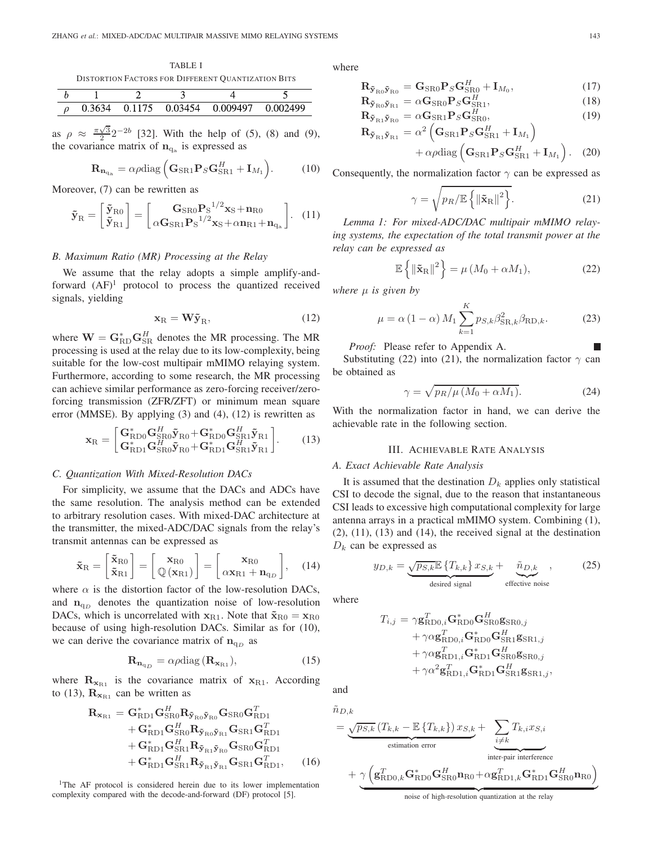TABLE I DISTORTION FACTORS FOR DIFFERENT QUANTIZATION BITS

| 0.3634 |  | 0.1175 0.03454 0.009497 0.002499 |  |
|--------|--|----------------------------------|--|

as  $\rho \approx \frac{\pi\sqrt{3}}{2} 2^{-2b}$  [32]. With the help of (5), (8) and (9), the covariance matrix of  $n_{q_a}$  is expressed as

$$
\mathbf{R}_{\mathbf{n}_{q_a}} = \alpha \rho \text{diag}\left(\mathbf{G}_{SR1} \mathbf{P}_S \mathbf{G}_{SR1}^H + \mathbf{I}_{M_1}\right). \tag{10}
$$

Moreover, (7) can be rewritten as

$$
\tilde{\mathbf{y}}_{\mathrm{R}} = \begin{bmatrix} \tilde{\mathbf{y}}_{\mathrm{R}0} \\ \tilde{\mathbf{y}}_{\mathrm{R}1} \end{bmatrix} = \begin{bmatrix} \mathbf{G}_{\mathrm{SR}0} \mathbf{P}_{\mathrm{S}}^{1/2} \mathbf{x}_{\mathrm{S}} + \mathbf{n}_{\mathrm{R}0} \\ \alpha \mathbf{G}_{\mathrm{SR}1} \mathbf{P}_{\mathrm{S}}^{1/2} \mathbf{x}_{\mathrm{S}} + \alpha \mathbf{n}_{\mathrm{R}1} + \mathbf{n}_{\mathrm{q}_{\mathrm{a}}} \end{bmatrix} . \tag{11}
$$

## *B. Maximum Ratio (MR) Processing at the Relay*

We assume that the relay adopts a simple amplify-andforward  $(AF)^1$  protocol to process the quantized received signals, yielding

$$
\mathbf{x}_{\mathrm{R}} = \mathbf{W}\tilde{\mathbf{y}}_{\mathrm{R}},\tag{12}
$$

where  $\mathbf{W} = \mathbf{G}_{\text{RD}}^{*} \mathbf{G}_{\text{SR}}^{H}$  denotes the MR processing. The MR processing is used at the relay due to its low-complexity being processing is used at the relay due to its low-complexity, being suitable for the low-cost multipair mMIMO relaying system. Furthermore, according to some research, the MR processing can achieve similar performance as zero-forcing receiver/zeroforcing transmission (ZFR/ZFT) or minimum mean square error (MMSE). By applying (3) and (4), (12) is rewritten as

$$
\mathbf{x}_{\mathrm{R}} = \begin{bmatrix} \mathbf{G}_{\mathrm{R}D0}^{*} \mathbf{G}_{\mathrm{S}\mathrm{R}0}^{H} \tilde{\mathbf{y}}_{\mathrm{R}0} + \mathbf{G}_{\mathrm{R}D0}^{*} \mathbf{G}_{\mathrm{S}\mathrm{R}1}^{H} \tilde{\mathbf{y}}_{\mathrm{R}1} \\ \mathbf{G}_{\mathrm{R}D1}^{*} \mathbf{G}_{\mathrm{S}\mathrm{R}0}^{H} \tilde{\mathbf{y}}_{\mathrm{R}0} + \mathbf{G}_{\mathrm{R}D1}^{*} \mathbf{G}_{\mathrm{S}\mathrm{R}1}^{H} \tilde{\mathbf{y}}_{\mathrm{R}1} \end{bmatrix} .
$$
 (13)

## *C. Quantization With Mixed-Resolution DACs*

For simplicity, we assume that the DACs and ADCs have the same resolution. The analysis method can be extended to arbitrary resolution cases. With mixed-DAC architecture at the transmitter, the mixed-ADC/DAC signals from the relay's transmit antennas can be expressed as

$$
\tilde{\mathbf{x}}_{R} = \begin{bmatrix} \tilde{\mathbf{x}}_{R0} \\ \tilde{\mathbf{x}}_{R1} \end{bmatrix} = \begin{bmatrix} \mathbf{x}_{R0} \\ \mathbf{\mathbb{Q}}(\mathbf{x}_{R1}) \end{bmatrix} = \begin{bmatrix} \mathbf{x}_{R0} \\ \alpha \mathbf{x}_{R1} + \mathbf{n}_{qD} \end{bmatrix}, \quad (14)
$$

where  $\alpha$  is the distortion factor of the low-resolution DACs, and  $n_{qD}$  denotes the quantization noise of low-resolution DACs, which is uncorrelated with  $\mathbf{x}_{R1}$ . Note that  $\tilde{\mathbf{x}}_{R0} = \mathbf{x}_{R0}$ because of using high-resolution DACs. Similar as for (10), we can derive the covariance matrix of  $n_{qD}$  as

$$
\mathbf{R}_{\mathbf{n}_{q_D}} = \alpha \rho \text{diag} \left( \mathbf{R}_{\mathbf{x}_{R1}} \right),\tag{15}
$$

where  $\mathbf{R}_{\mathbf{x}_{R1}}$  is the covariance matrix of  $\mathbf{x}_{R1}$ . According to (13),  $\mathbf{R}_{\mathbf{x}_{R1}}$  can be written as

$$
\mathbf{R}_{\mathbf{x}_{R1}} = \mathbf{G}_{RD1}^{*} \mathbf{G}_{SR0}^{H} \mathbf{R}_{\tilde{\mathbf{y}}_{R0}} \tilde{\mathbf{y}}_{R0} \mathbf{G}_{SR0} \mathbf{G}_{RD1}^{T} \n+ \mathbf{G}_{RD1}^{*} \mathbf{G}_{SR0}^{H} \mathbf{R}_{\tilde{\mathbf{y}}_{R0}} \tilde{\mathbf{y}}_{R1} \mathbf{G}_{SR1} \mathbf{G}_{RD1}^{T} \n+ \mathbf{G}_{RD1}^{*} \mathbf{G}_{SR1}^{H} \mathbf{R}_{\tilde{\mathbf{y}}_{R1} \tilde{\mathbf{y}}_{R0}} \mathbf{G}_{SR0} \mathbf{G}_{RD1}^{T} \n+ \mathbf{G}_{RD1}^{*} \mathbf{G}_{SR1}^{H} \mathbf{R}_{\tilde{\mathbf{y}}_{R1} \tilde{\mathbf{y}}_{R1}} \mathbf{G}_{SR1} \mathbf{G}_{RD1}^{T},
$$
\n(16)

<sup>1</sup>The AF protocol is considered herein due to its lower implementation complexity compared with the decode-and-forward (DF) protocol [5].

where

$$
\mathbf{R}_{\tilde{\mathbf{y}}_{\text{R0}}\tilde{\mathbf{y}}_{\text{R0}}} = \mathbf{G}_{\text{SR0}} \mathbf{P}_S \mathbf{G}_{\text{SR0}}^H + \mathbf{I}_{M_0},\tag{17}
$$

$$
\mathbf{R}_{\tilde{\mathbf{y}}_{\text{R}0}\tilde{\mathbf{y}}_{\text{R}1}} = \alpha \mathbf{G}_{\text{SR}0} \mathbf{P}_S \mathbf{G}_{\text{SR}1}^H, \tag{18}
$$

$$
\mathbf{R}_{\tilde{\mathbf{y}}_{\text{R1}}\tilde{\mathbf{y}}_{\text{R0}}} = \alpha \mathbf{G}_{\text{S} \text{R1}} \mathbf{P}_{S} \mathbf{G}_{\text{S} \text{R0}}^{H},
$$
\n
$$
\mathbf{R}_{\tilde{\mathbf{y}}_{\text{R1}}\tilde{\mathbf{y}}_{\text{R1}}} = \alpha^2 \left( \mathbf{G}_{\text{S} \text{R1}} \mathbf{P}_{S} \mathbf{G}_{\text{S} \text{R1}}^{H} + \mathbf{I}_{M_1} \right)
$$
\n(19)

$$
+\alpha \rho \text{diag}\left(\mathbf{G}_{\text{SR1}}\mathbf{P}_S\mathbf{G}_{\text{SR1}}^H+\mathbf{I}_{M_1}\right).
$$
 (20)

Consequently, the normalization factor  $\gamma$  can be expressed as

$$
\gamma = \sqrt{p_R/\mathbb{E}\left\{\left\|\tilde{\mathbf{x}}_{\mathrm{R}}\right\|^2\right\}}.
$$
 (21)

*Lemma 1: For mixed-ADC/DAC multipair mMIMO relaying systems, the expectation of the total transmit power at the relay can be expressed as*

$$
\mathbb{E}\left\{\left\|\tilde{\mathbf{x}}_{\mathrm{R}}\right\|^2\right\} = \mu\left(M_0 + \alpha M_1\right),\tag{22}
$$

*where* μ *is given by*

$$
\mu = \alpha (1 - \alpha) M_1 \sum_{k=1}^{K} p_{S,k} \beta_{\text{SR},k}^2 \beta_{\text{RD},k}.
$$
 (23)

*Proof:* Please refer to Appendix A.

Substituting (22) into (21), the normalization factor  $\gamma$  can be obtained as

$$
\gamma = \sqrt{p_R/\mu \left(M_0 + \alpha M_1\right)}.\tag{24}
$$

With the normalization factor in hand, we can derive the achievable rate in the following section.

## III. ACHIEVABLE RATE ANALYSIS

## *A. Exact Achievable Rate Analysis*

It is assumed that the destination  $D_k$  applies only statistical CSI to decode the signal, due to the reason that instantaneous CSI leads to excessive high computational complexity for large antenna arrays in a practical mMIMO system. Combining (1), (2), (11), (13) and (14), the received signal at the destination  $D_k$  can be expressed as

$$
y_{D,k} = \underbrace{\sqrt{p_{S,k}} \mathbb{E} \{T_{k,k}\} \, x_{S,k}}_{\text{desired signal}} + \underbrace{\tilde{n}_{D,k}}_{\text{effective noise}}, \qquad (25)
$$

where

$$
\begin{aligned} T_{i,j} = \gamma \mathbf{g}_{\text{RDO},i}^T \mathbf{G}_{\text{RDO}}^* \mathbf{G}_{\text{SRO}}^H \mathbf{g}_{\text{SRO},j} \\ + \gamma \alpha \mathbf{g}_{\text{RDO},i}^T \mathbf{G}_{\text{RDO}}^* \mathbf{G}_{\text{SRI}}^H \mathbf{g}_{\text{SRI},j} \\ + \gamma \alpha \mathbf{g}_{\text{RDI},i}^T \mathbf{G}_{\text{RDI}}^* \mathbf{G}_{\text{SRO}}^H \mathbf{g}_{\text{SRO},j} \\ + \gamma \alpha^2 \mathbf{g}_{\text{RDI},i}^T \mathbf{G}_{\text{RDI}}^* \mathbf{G}_{\text{SRI}}^H \mathbf{g}_{\text{SRI},j}, \end{aligned}
$$

and

$$
\tilde{n}_{D,k} = \underbrace{\sqrt{p_{S,k}} \left( T_{k,k} - \mathbb{E} \left\{ T_{k,k} \right\} \right) x_{S,k}}_{\text{estimation error}} + \underbrace{\sum_{i \neq k} T_{k,i} x_{S,i}}_{\text{inter-pair interference}} + \underbrace{\gamma \left( \mathbf{g}_{\text{RDO},k}^T \mathbf{G}_{\text{RDO}}^* \mathbf{G}_{\text{SRO}}^H \mathbf{n}_{\text{ROL}} + \alpha \mathbf{g}_{\text{RD1},k}^T \mathbf{G}_{\text{RD1}}^* \mathbf{G}_{\text{SRO}}^H \mathbf{n}_{\text{ROL}} \right)}
$$

noise of high-resolution quantization at the relay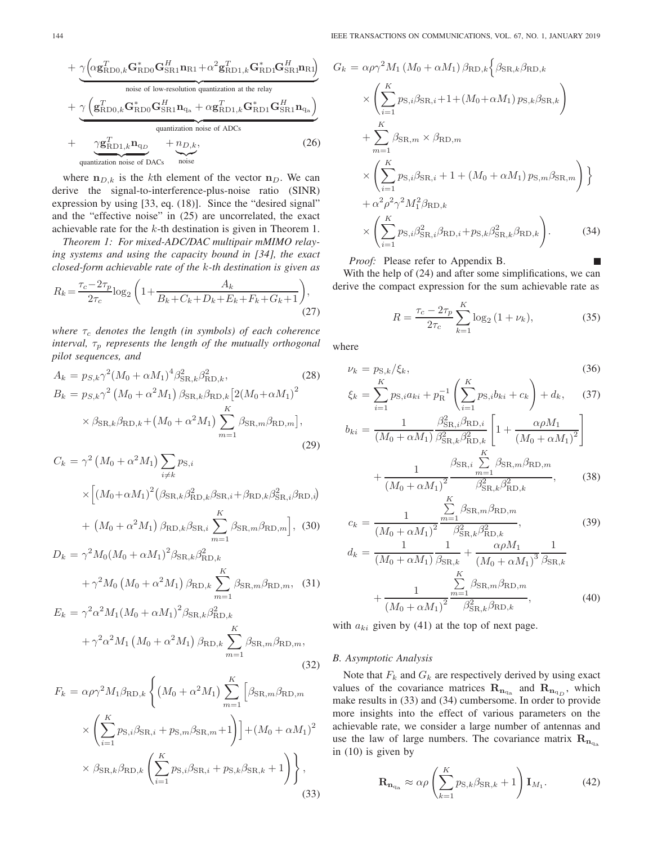+ 
$$
\frac{\gamma \left(\alpha \mathbf{g}_{\text{RDO},k}^T \mathbf{G}_{\text{RD0}}^H \mathbf{G}_{\text{SR1}}^H \mathbf{n}_{\text{R1}} + \alpha^2 \mathbf{g}_{\text{RD1},k}^T \mathbf{G}_{\text{RD1}}^H \mathbf{G}_{\text{SR1}}^H \mathbf{n}_{\text{R1}}\right)}{\text{noise of low-resolution quantization at the relay}}
$$
  
+  $\frac{\gamma \left(\mathbf{g}_{\text{RDO},k}^T \mathbf{G}_{\text{RD0}}^* \mathbf{G}_{\text{SR1}}^H \mathbf{n}_{\text{q}_a} + \alpha \mathbf{g}_{\text{RD1},k}^T \mathbf{G}_{\text{RD1}}^* \mathbf{G}_{\text{SR1}}^H \mathbf{n}_{\text{q}_a}\right)}{\text{quantization noise of ADCs}}$   
+  $\frac{\gamma \mathbf{g}_{\text{RD1},k}^T \mathbf{n}_{\text{q}_D}}{\text{quantization noise of DACs}}$  (26)

where  $\mathbf{n}_{D,k}$  is the kth element of the vector  $\mathbf{n}_D$ . We can derive the signal-to-interference-plus-noise ratio (SINR) expression by using [33, eq. (18)]. Since the "desired signal" and the "effective noise" in (25) are uncorrelated, the exact achievable rate for the k-th destination is given in Theorem 1.

*Theorem 1: For mixed-ADC/DAC multipair mMIMO relaying systems and using the capacity bound in [34], the exact closed-form achievable rate of the* k*-th destination is given as*

$$
R_k = \frac{\tau_c - 2\tau_p}{2\tau_c} \log_2 \left( 1 + \frac{A_k}{B_k + C_k + D_k + E_k + F_k + G_k + 1} \right),\tag{27}
$$

*where*  $\tau_c$  *denotes the length (in symbols) of each coherence interval,*  $\tau_p$  *represents the length of the mutually orthogonal pilot sequences, and*

$$
A_{k} = p_{S,k} \gamma^{2} (M_{0} + \alpha M_{1})^{4} \beta_{\text{SR},k}^{2} \beta_{\text{RD},k}^{2},
$$
\n
$$
B_{k} = p_{S,k} \gamma^{2} (M_{0} + \alpha^{2} M_{1}) \beta_{\text{SR},k} \beta_{\text{RD},k} [2(M_{0} + \alpha M_{1})^{2} \times \beta_{\text{SR},k} \beta_{\text{RD},k} + (M_{0} + \alpha^{2} M_{1}) \sum_{m=1}^{K} \beta_{\text{SR},m} \beta_{\text{RD},m}],
$$
\n
$$
(29)
$$

$$
C_k = \gamma^2 \left( M_0 + \alpha^2 M_1 \right) \sum_{i \neq k} p_{\text{S},i}
$$

$$
\times \left[ \left( M_0 + \alpha M_1 \right)^2 \left( \beta_{\text{SR},k} \beta_{\text{RD},k}^2 \beta_{\text{SR},i} + \beta_{\text{RD},k} \beta_{\text{SR},i}^2 \beta_{\text{RD},i} \right) \right]
$$

$$
= \left( M_0 + \frac{2M_0}{\alpha^2} \right) \left( \frac{K}{\alpha^2} \right) \left( \frac{2M_0}{\alpha^2} \right) \left( \frac{2M_0}{\alpha^2} \right) \left( \frac{2M_0}{\alpha^2} \right) \left( \frac{2M_0}{\alpha^2} \right) \left( \frac{2M_0}{\alpha^2} \right) \left( \frac{2M_0}{\alpha^2} \right) \left( \frac{2M_0}{\alpha^2} \right) \left( \frac{2M_0}{\alpha^2} \right) \left( \frac{2M_0}{\alpha^2} \right) \left( \frac{2M_0}{\alpha^2} \right) \left( \frac{2M_0}{\alpha^2} \right) \left( \frac{2M_0}{\alpha^2} \right) \left( \frac{2M_0}{\alpha^2} \right) \left( \frac{2M_0}{\alpha^2} \right) \left( \frac{2M_0}{\alpha^2} \right) \left( \frac{2M_0}{\alpha^2} \right) \left( \frac{2M_0}{\alpha^2} \right) \left( \frac{2M_0}{\alpha^2} \right) \left( \frac{2M_0}{\alpha^2} \right) \left( \frac{2M_0}{\alpha^2} \right) \left( \frac{2M_0}{\alpha^2} \right) \left( \frac{2M_0}{\alpha^2} \right) \left( \frac{2M_0}{\alpha^2} \right) \left( \frac{2M_0}{\alpha^2} \right) \left( \frac{2M_0}{\alpha^2} \right) \left( \frac{2M_0}{\alpha^2} \right) \left( \frac{2M_0}{\alpha^2} \right) \left( \frac{2M_0}{\alpha^2} \right) \left( \frac{2M_0}{\alpha^2} \right) \left( \frac{2M_0}{\alpha^2} \right
$$

+ 
$$
(M_0 + \alpha^2 M_1) \beta_{\text{RD},k} \beta_{\text{SR},i} \sum_{m=1} \beta_{\text{SR},m} \beta_{\text{RD},m}
$$
, (30)  

$$
D_k = \gamma^2 M_0 (M_0 + \alpha M_1)^2 \beta_{\text{SR},k} \beta_{\text{RD},k}^2
$$

$$
+\gamma^{2}M_{0}\left(M_{0}+\alpha^{2}M_{1}\right)\beta_{\text{RD},k}\sum_{m=1}^{K}\beta_{\text{SR},m}\beta_{\text{RD},m}, \quad (31)
$$
  

$$
F = \gamma^{2}\alpha^{2}M\left(M + \alpha M\right)^{2}\beta - \beta^{2}
$$

$$
E_k = \gamma^2 \alpha^2 M_1 (M_0 + \alpha M_1)^2 \beta_{\text{SR},k} \beta_{\text{RD},k}^2
$$
  
+  $\gamma^2 \alpha^2 M_1 (M_0 + \alpha^2 M_1) \beta_{\text{RD},k} \sum_{m=1}^K \beta_{\text{SR},m} \beta_{\text{RD},m},$  (32)

$$
F_k = \alpha \rho \gamma^2 M_1 \beta_{\text{RD},k} \left\{ (M_0 + \alpha^2 M_1) \sum_{m=1}^K \left[ \beta_{\text{SR},m} \beta_{\text{RD},m} \right] \times \left( \sum_{i=1}^K p_{\text{S},i} \beta_{\text{SR},i} + p_{\text{S},m} \beta_{\text{SR},m} + 1 \right) \right\} + (M_0 + \alpha M_1)^2
$$
  
 
$$
\times \beta_{\text{SR},k} \beta_{\text{RD},k} \left( \sum_{i=1}^K p_{\text{S},i} \beta_{\text{SR},i} + p_{\text{S},k} \beta_{\text{SR},k} + 1 \right) \right\},
$$
(33)

$$
G_{k} = \alpha \rho \gamma^{2} M_{1} (M_{0} + \alpha M_{1}) \beta_{\text{RD},k} \Big\{ \beta_{\text{SR},k} \beta_{\text{RD},k} \times \left( \sum_{i=1}^{K} p_{\text{S},i} \beta_{\text{SR},i} + 1 + (M_{0} + \alpha M_{1}) p_{\text{S},k} \beta_{\text{SR},k} \right) + \sum_{m=1}^{K} \beta_{\text{SR},m} \times \beta_{\text{RD},m} \times \left( \sum_{i=1}^{K} p_{\text{S},i} \beta_{\text{SR},i} + 1 + (M_{0} + \alpha M_{1}) p_{\text{S},m} \beta_{\text{SR},m} \right) \Big\} + \alpha^{2} \rho^{2} \gamma^{2} M_{1}^{2} \beta_{\text{RD},k} \times \left( \sum_{i=1}^{K} p_{\text{S},i} \beta_{\text{SR},i}^{2} \beta_{\text{RD},i} + p_{\text{S},k} \beta_{\text{SR},k}^{2} \beta_{\text{RD},k} \right).
$$
 (34)

*Proof:* Please refer to Appendix B.

With the help of (24) and after some simplifications, we can derive the compact expression for the sum achievable rate as

$$
R = \frac{\tau_c - 2\tau_p}{2\tau_c} \sum_{k=1}^{K} \log_2\left(1 + \nu_k\right),\tag{35}
$$

where

$$
\nu_k = p_{\text{S},k} / \xi_k,\tag{36}
$$

$$
\xi_k = \sum_{i=1}^K p_{\text{S},i} a_{ki} + p_{\text{R}}^{-1} \left( \sum_{i=1}^K p_{\text{S},i} b_{ki} + c_k \right) + d_k, \tag{37}
$$

$$
b_{ki} = \frac{1}{(M_0 + \alpha M_1)} \frac{\beta_{\text{SR},i}^2 \beta_{\text{RD},i}}{\beta_{\text{SR},k}^2 \beta_{\text{RD},k}^2} \left[ 1 + \frac{\alpha \rho M_1}{(M_0 + \alpha M_1)^2} \right] + \frac{1}{(M_0 + \alpha M_1)^2} \frac{\beta_{\text{SR},i} \sum_{m=1}^K \beta_{\text{SR},m} \beta_{\text{RD},m}}{\beta_{\text{SR},k}^2 \beta_{\text{RD},k}^2},
$$
(38)

$$
c_{k} = \frac{1}{(M_{0} + \alpha M_{1})^{2}} \frac{\sum_{m=1}^{K} \beta_{\text{SR},m} \beta_{\text{RD},m}}{\beta_{\text{SR},k}^{2} \beta_{\text{RD},k}^{2}},
$$
(39)  

$$
d_{k} = \frac{1}{(M_{0} + \alpha M_{1})} \frac{1}{\beta_{\text{SR},k}} + \frac{\alpha \rho M_{1}}{(M_{0} + \alpha M_{1})^{3}} \frac{1}{\beta_{\text{SR},k}}
$$

$$
\sum_{n=1}^{K} \beta_{\text{SR},m} \beta_{\text{RD},m}
$$

$$
+\frac{1}{(M_0 + \alpha M_1)^2} \frac{\sum_{m=1}^{N=1} P_{\text{SR},m} P_{\text{RD},m}}{\beta_{\text{SR},k}^2 \beta_{\text{RD},k}},\tag{40}
$$

with  $a_{ki}$  given by (41) at the top of next page.

## *B. Asymptotic Analysis*

Note that  $F_k$  and  $G_k$  are respectively derived by using exact values of the covariance matrices  $\mathbf{R}_{n_{q_n}}$  and  $\mathbf{R}_{n_{q_n}}$ , which make results in (33) and (34) cumbersome. In order to provide more insights into the effect of various parameters on the achievable rate, we consider a large number of antennas and use the law of large numbers. The covariance matrix  $\mathbf{R}_{\mathbf{n}_{q}}$ in (10) is given by

$$
\mathbf{R}_{\mathbf{n}_{\mathrm{qa}}} \approx \alpha \rho \left( \sum_{k=1}^{K} p_{\mathrm{S},k} \beta_{\mathrm{SR},k} + 1 \right) \mathbf{I}_{M_1}.
$$
 (42)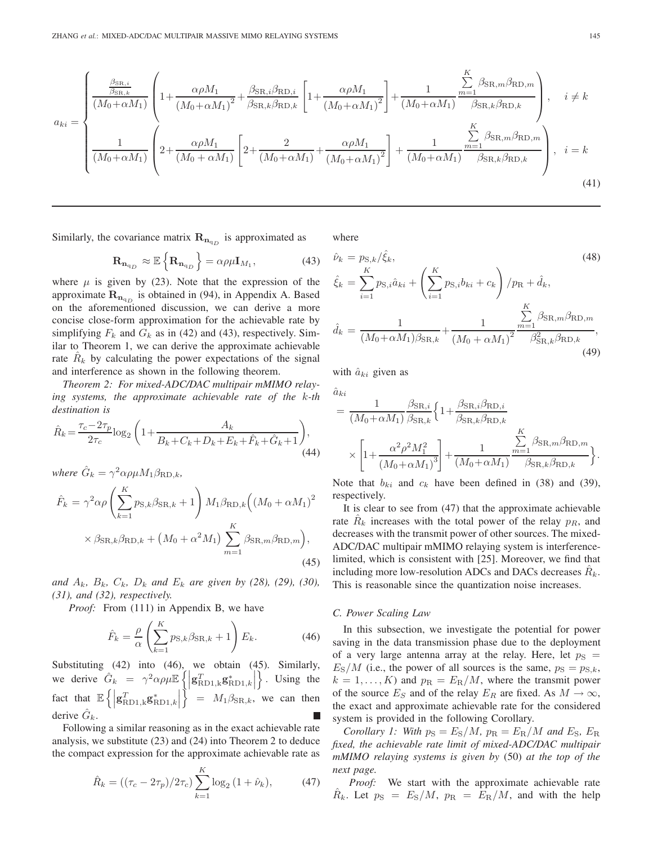$$
a_{ki} = \begin{cases} \frac{\beta_{\text{SR},i}}{\beta_{\text{SR},k}} \left( 1 + \frac{\alpha \rho M_1}{(M_0 + \alpha M_1)^2} + \frac{\beta_{\text{SR},i} \beta_{\text{RD},i}}{\beta_{\text{SR},k} \beta_{\text{RD},k}} \left[ 1 + \frac{\alpha \rho M_1}{(M_0 + \alpha M_1)^2} \right] + \frac{1}{(M_0 + \alpha M_1)} \frac{\sum\limits_{m=1}^{K} \beta_{\text{SR},m} \beta_{\text{RD},m}}{\beta_{\text{SR},k} \beta_{\text{RD},k}} \right), & i \neq k \\ \frac{1}{(M_0 + \alpha M_1)} \left( 2 + \frac{\alpha \rho M_1}{(M_0 + \alpha M_1)} \left[ 2 + \frac{2}{(M_0 + \alpha M_1)} + \frac{\alpha \rho M_1}{(M_0 + \alpha M_1)^2} \right] + \frac{1}{(M_0 + \alpha M_1)} \frac{\sum\limits_{m=1}^{K} \beta_{\text{SR},m} \beta_{\text{RD},m}}{\beta_{\text{SR},k} \beta_{\text{RD},k}} \right), & i = k \end{cases}
$$
(41)

Similarly, the covariance matrix  $\mathbf{R}_{n_{q_D}}$  is approximated as

$$
\mathbf{R}_{\mathbf{n}_{q_D}} \approx \mathbb{E}\left\{ \mathbf{R}_{\mathbf{n}_{q_D}} \right\} = \alpha \rho \mu \mathbf{I}_{M_1},\tag{43}
$$

where  $\mu$  is given by (23). Note that the expression of the approximate  $\mathbf{R}_{\mathbf{n}_{q_D}}$  is obtained in (94), in Appendix A. Based on the aforementioned discussion, we can derive a more concise close-form approximation for the achievable rate by simplifying  $F_k$  and  $G_k$  as in (42) and (43), respectively. Similar to Theorem 1, we can derive the approximate achievable rate  $\hat{R}_k$  by calculating the power expectations of the signal and interference as shown in the following theorem.

*Theorem 2: For mixed-ADC/DAC multipair mMIMO relaying systems, the approximate achievable rate of the* k*-th destination is*

$$
\hat{R}_k = \frac{\tau_c - 2\tau_p}{2\tau_c} \log_2 \left( 1 + \frac{A_k}{B_k + C_k + D_k + E_k + \hat{F}_k + \hat{G}_k + 1} \right),\tag{44}
$$

*where*  $\hat{G}_k = \gamma^2 \alpha \rho \mu M_1 \beta_{BD,k}$ ,

$$
\hat{F}_k = \gamma^2 \alpha \rho \left( \sum_{k=1}^K p_{\text{S},k} \beta_{\text{SR},k} + 1 \right) M_1 \beta_{\text{RD},k} \left( \left( M_0 + \alpha M_1 \right)^2 \times \beta_{\text{SR},k} \beta_{\text{RD},k} + \left( M_0 + \alpha^2 M_1 \right) \sum_{m=1}^K \beta_{\text{SR},m} \beta_{\text{RD},m} \right),\tag{45}
$$

*and*  $A_k$ ,  $B_k$ ,  $C_k$ ,  $D_k$  *and*  $E_k$  *are given by (28), (29), (30), (31), and (32), respectively.*

*Proof:* From (111) in Appendix B, we have

$$
\hat{F}_k = \frac{\rho}{\alpha} \left( \sum_{k=1}^K p_{\mathrm{S},k} \beta_{\mathrm{SR},k} + 1 \right) E_k.
$$
 (46)

Substituting (42) into (46), we obtain (45). Similarly, we derive  $\hat{G}_k = \gamma^2 \alpha \rho \mu \mathbb{E} \left\{ \left| \mathbf{g}_{\text{RD1},k}^T \mathbf{g}_{\text{RD1},k}^* \right| \right\}$  $\big\}$ . Using the fact that  $\mathbb{E} \left\{ \left| \mathbf{g}_{\text{RD1},k}^T \mathbf{g}_{\text{RD1},k}^* \right| \right\}$  $\Big\} = M_1 \beta_{\text{SR},k}$ , we can then derive  $\hat{G}_k$ .

Following a similar reasoning as in the exact achievable rate analysis, we substitute (23) and (24) into Theorem 2 to deduce the compact expression for the approximate achievable rate as

$$
\hat{R}_k = ((\tau_c - 2\tau_p)/2\tau_c) \sum_{k=1}^K \log_2(1 + \hat{\nu}_k), \tag{47}
$$

where

$$
\hat{\nu}_k = p_{\text{S},k} / \hat{\xi}_k, \tag{48}
$$
\n
$$
\hat{\xi}_k = \sum_{i=1}^K p_{\text{S},i} \hat{a}_{ki} + \left( \sum_{i=1}^K p_{\text{S},i} b_{ki} + c_k \right) / p_{\text{R}} + \hat{d}_k,
$$
\n
$$
\hat{d}_k = \frac{1}{(M_0 + \alpha M_1) \beta_{\text{SR},k}} + \frac{1}{(M_0 + \alpha M_1)^2} \sum_{m=1}^K \beta_{\text{SR},m} \beta_{\text{RD},m}, \tag{49}
$$

with  $\hat{a}_{ki}$  given as

 $a_{ki}$ 

$$
= \frac{1}{(M_0 + \alpha M_1)} \frac{\beta_{\text{SR},i}}{\beta_{\text{SR},k}} \left\{ 1 + \frac{\beta_{\text{SR},i} \beta_{\text{RD},i}}{\beta_{\text{SR},k} \beta_{\text{RD},k}} \right.\times \left[ 1 + \frac{\alpha^2 \rho^2 M_1^2}{(M_0 + \alpha M_1)^3} \right] + \frac{1}{(M_0 + \alpha M_1)} \frac{\sum\limits_{m=1}^K \beta_{\text{SR},m} \beta_{\text{RD},m}}{\beta_{\text{SR},k} \beta_{\text{RD},k}} \right\}.
$$

Note that  $b_{ki}$  and  $c_k$  have been defined in (38) and (39), respectively.

It is clear to see from (47) that the approximate achievable rate  $\hat{R}_k$  increases with the total power of the relay  $p_R$ , and decreases with the transmit power of other sources. The mixed-ADC/DAC multipair mMIMO relaying system is interferencelimited, which is consistent with [25]. Moreover, we find that including more low-resolution ADCs and DACs decreases  $\hat{R}_k$ . This is reasonable since the quantization noise increases.

#### *C. Power Scaling Law*

In this subsection, we investigate the potential for power saving in the data transmission phase due to the deployment of a very large antenna array at the relay. Here, let  $p<sub>S</sub>$  =  $E_\text{S}/M$  (i.e., the power of all sources is the same,  $p_\text{S} = p_{\text{S},k}$ ,  $k = 1, \ldots, K$ ) and  $p_R = E_R/M$ , where the transmit power of the source  $E_S$  and of the relay  $E_R$  are fixed. As  $M \to \infty$ , the exact and approximate achievable rate for the considered system is provided in the following Corollary.

*Corollary 1: With*  $p_S = E_S/M$ ,  $p_R = E_R/M$  *and*  $E_S$ ,  $E_R$ *fixed, the achievable rate limit of mixed-ADC/DAC multipair mMIMO relaying systems is given by* (50) *at the top of the next page.*

*Proof:* We start with the approximate achievable rate  $R_k$ . Let  $p_S = E_S/M$ ,  $p_R = E_R/M$ , and with the help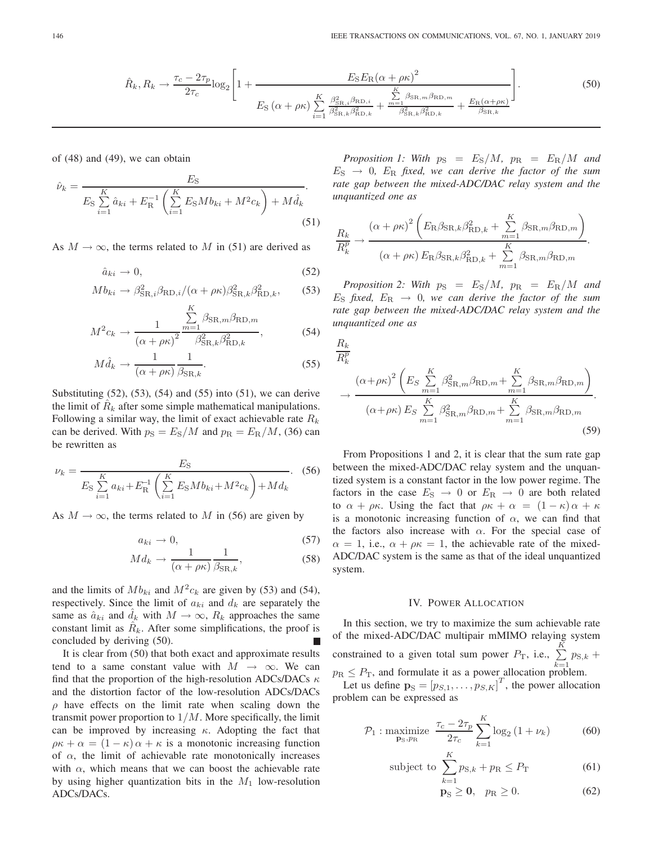$$
\hat{R}_{k}, R_{k} \to \frac{\tau_{c} - 2\tau_{p}}{2\tau_{c}} \log_{2} \left[ 1 + \frac{E_{S} E_{R} (\alpha + \rho \kappa)^{2}}{E_{S} (\alpha + \rho \kappa) \sum_{i=1}^{K} \frac{\beta_{\text{SR},i}^{2} \beta_{\text{RD},i}}{\beta_{\text{SR},k}^{2} \beta_{\text{RD},k}^{2}} + \frac{\sum_{n=1}^{K} \beta_{\text{SR},m} \beta_{\text{RD},m}}{\beta_{\text{SR},k}^{2} \beta_{\text{RD},k}^{2}} + \frac{E_{R} (\alpha + \rho \kappa)}{\beta_{\text{SR},k}} \right].
$$
\n(50)

of (48) and (49), we can obtain

$$
\hat{\nu}_k = \frac{E_{\rm S}}{E_{\rm S} \sum_{i=1}^{K} \hat{a}_{ki} + E_{\rm R}^{-1} \left( \sum_{i=1}^{K} E_{\rm S} M b_{ki} + M^2 c_k \right) + M \hat{d}_k}.
$$
\n(51)

As  $M \to \infty$ , the terms related to M in (51) are derived as

$$
\hat{a}_{ki} \to 0,\tag{52}
$$

$$
Mb_{ki} \rightarrow \beta_{\text{SR},i}^2 \beta_{\text{RD},i} / (\alpha + \rho \kappa) \beta_{\text{SR},k}^2 \beta_{\text{RD},k}^2, \tag{53}
$$

$$
M^{2}c_{k} \rightarrow \frac{1}{\left(\alpha + \rho \kappa\right)^{2}} \frac{\sum_{m=1}^{N} \beta_{\text{SR},m} \beta_{\text{RD},m}}{\beta_{\text{SR},k}^{2} \beta_{\text{RD},k}^{2}},\tag{54}
$$

$$
M\hat{d}_k \to \frac{1}{(\alpha + \rho \kappa)} \frac{1}{\beta_{\text{SR},k}}.\tag{55}
$$

Substituting (52), (53), (54) and (55) into (51), we can derive the limit of  $R_k$  after some simple mathematical manipulations. Following a similar way, the limit of exact achievable rate  $R_k$ can be derived. With  $p_S = E_S/M$  and  $p_R = E_R/M$ , (36) can be rewritten as

$$
\nu_k = \frac{E_S}{E_S \sum_{i=1}^K a_{ki} + E_R^{-1} \left( \sum_{i=1}^K E_S M b_{ki} + M^2 c_k \right) + M d_k}.
$$
 (56)

As  $M \to \infty$ , the terms related to M in (56) are given by

$$
a_{ki} \to 0,\tag{57}
$$

$$
Md_k \to \frac{1}{(\alpha + \rho \kappa)} \frac{1}{\beta_{\text{SR},k}},\tag{58}
$$

and the limits of  $Mb_{ki}$  and  $M^2c_k$  are given by (53) and (54), respectively. Since the limit of  $a_{ki}$  and  $d_k$  are separately the same as  $\hat{a}_{ki}$  and  $\hat{d}_k$  with  $M \to \infty$ ,  $R_k$  approaches the same constant limit as  $R_k$ . After some simplifications, the proof is concluded by deriving (50). П

It is clear from (50) that both exact and approximate results tend to a same constant value with  $M \rightarrow \infty$ . We can find that the proportion of the high-resolution ADCs/DACs  $\kappa$ and the distortion factor of the low-resolution ADCs/DACs  $\rho$  have effects on the limit rate when scaling down the transmit power proportion to  $1/M$ . More specifically, the limit can be improved by increasing  $\kappa$ . Adopting the fact that  $\rho \kappa + \alpha = (1 - \kappa) \alpha + \kappa$  is a monotonic increasing function of  $\alpha$ , the limit of achievable rate monotonically increases with  $\alpha$ , which means that we can boost the achievable rate by using higher quantization bits in the  $M_1$  low-resolution ADCs/DACs.

*Proposition 1: With*  $p_S = E_S/M$ ,  $p_R = E_R/M$  and  $E_{\rm S} \rightarrow 0$ ,  $E_{\rm R}$  fixed, we can derive the factor of the sum *rate gap between the mixed-ADC/DAC relay system and the unquantized one as*

$$
\frac{R_k}{R_k^p} \rightarrow \frac{\left(\alpha + \rho \kappa\right)^2 \left(E_R \beta_{\text{SR},k} \beta_{\text{RD},k}^2 + \sum_{m=1}^K \beta_{\text{SR},m} \beta_{\text{RD},m}\right)}{\left(\alpha + \rho \kappa\right) E_R \beta_{\text{SR},k} \beta_{\text{RD},k}^2 + \sum_{m=1}^K \beta_{\text{SR},m} \beta_{\text{RD},m}}.
$$

*Proposition 2: With*  $p_S = E_S/M$ ,  $p_R = E_R/M$  and  $E<sub>S</sub>$  fixed,  $E<sub>R</sub> \rightarrow 0$ , we can derive the factor of the sum *rate gap between the mixed-ADC/DAC relay system and the unquantized one as*

$$
\frac{R_k}{R_k^p}
$$
\n
$$
\rightarrow \frac{\left(\alpha + \rho \kappa\right)^2 \left(E_S \sum_{m=1}^K \beta_{\text{SR},m}^2 \beta_{\text{RD},m} + \sum_{m=1}^K \beta_{\text{SR},m} \beta_{\text{RD},m}\right)}{\left(\alpha + \rho \kappa\right) E_S \sum_{m=1}^K \beta_{\text{SR},m}^2 \beta_{\text{RD},m} + \sum_{m=1}^K \beta_{\text{SR},m} \beta_{\text{RD},m}}.
$$
\n(59)

From Propositions 1 and 2, it is clear that the sum rate gap between the mixed-ADC/DAC relay system and the unquantized system is a constant factor in the low power regime. The factors in the case  $E_{\rm S} \rightarrow 0$  or  $E_{\rm R} \rightarrow 0$  are both related to  $\alpha + \rho \kappa$ . Using the fact that  $\rho \kappa + \alpha = (1 - \kappa) \alpha + \kappa$ is a monotonic increasing function of  $\alpha$ , we can find that the factors also increase with  $\alpha$ . For the special case of  $\alpha = 1$ , i.e.,  $\alpha + \rho \kappa = 1$ , the achievable rate of the mixed-ADC/DAC system is the same as that of the ideal unquantized system.

#### IV. POWER ALLOCATION

In this section, we try to maximize the sum achievable rate of the mixed-ADC/DAC multipair mMIMO relaying system constrained to a given total sum power  $P_T$ , i.e.,  $\Sigma$ K  $\sum_{k=1}^{ } p_{S,k} +$  $p_{\rm R} \leq P_{\rm T}$ , and formulate it as a power allocation problem.

Let us define  $\mathbf{p}_\text{S} = [p_{S,1}, \dots, p_{S,K}]^T$ , the power allocation<br>phlem can be expressed as problem can be expressed as

$$
\mathcal{P}_1: \underset{\mathbf{p}_\text{S}, p_\text{R}}{\text{maximize}} \frac{\tau_c - 2\tau_p}{2\tau_c} \sum_{k=1}^K \log_2\left(1 + \nu_k\right) \tag{60}
$$

subject to 
$$
\sum_{k=1}^{K} p_{\text{S},k} + p_{\text{R}} \leq P_{\text{T}}
$$
 (61)

$$
\mathbf{p}_\mathrm{S} \geq \mathbf{0}, \quad p_\mathrm{R} \geq 0. \tag{62}
$$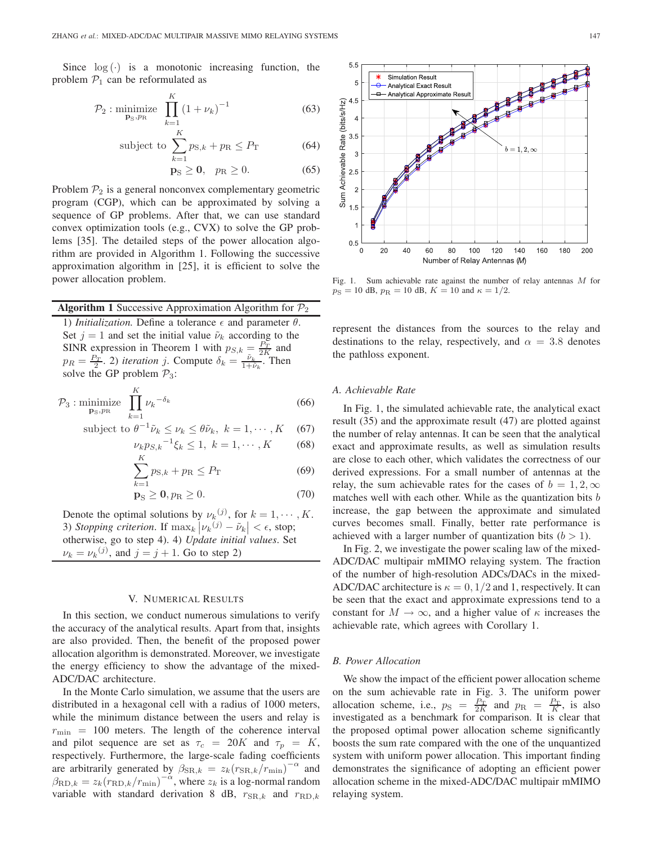Since  $log(·)$  is a monotonic increasing function, the problem  $\mathcal{P}_1$  can be reformulated as

$$
\mathcal{P}_2 : \underset{\mathbf{p}_S, p_R}{\text{minimize}} \prod_{k=1}^K (1 + \nu_k)^{-1}
$$
 (63)

subject to 
$$
\sum_{k=1}^{K} p_{\text{S},k} + p_{\text{R}} \le P_{\text{T}}
$$
 (64)

$$
\mathbf{p}_\mathrm{S} \geq \mathbf{0}, \quad p_\mathrm{R} \geq 0. \tag{65}
$$

Problem  $P_2$  is a general nonconvex complementary geometric program (CGP), which can be approximated by solving a sequence of GP problems. After that, we can use standard convex optimization tools (e.g., CVX) to solve the GP problems [35]. The detailed steps of the power allocation algorithm are provided in Algorithm 1. Following the successive approximation algorithm in [25], it is efficient to solve the power allocation problem.

**Algorithm 1** Successive Approximation Algorithm for  $\mathcal{P}_2$ 1) *Initialization*. Define a tolerance  $\epsilon$  and parameter  $\theta$ . Set  $j = 1$  and set the initial value  $\tilde{\nu}_k$  according to the SINR expression in Theorem 1 with  $p_{S,k} = \frac{P_T}{2K}$  and  $p_R = \frac{P_T}{2}$ . 2) *iteration* j. Compute  $\delta_k = \frac{\tilde{\nu}_k}{1+\tilde{\nu}_k}$ . Then solve the GP problem  $P_3$ :

$$
\mathcal{P}_3: \underset{\mathbf{p}_\mathrm{S}, p_\mathrm{R}}{\text{minimize}} \prod_{k=1}^K \nu_k^{-\delta_k} \tag{66}
$$

subject to 
$$
\theta^{-1}\tilde{\nu}_k \leq \nu_k \leq \theta \tilde{\nu}_k, \ k = 1, \cdots, K
$$
 (67)

$$
\nu_k p_{S,k}^{-1} \xi_k \le 1, \ k = 1, \cdots, K \tag{68}
$$

$$
\sum_{k=1} p_{\text{S},k} + p_{\text{R}} \le P_{\text{T}} \tag{69}
$$

$$
\mathbf{p}_{\mathrm{S}} \ge \mathbf{0}, p_{\mathrm{R}} \ge 0. \tag{70}
$$

Denote the optimal solutions by  $\nu_k$ <sup>(j)</sup>, for  $k = 1, \dots, K$ . 3) *Stopping criterion*. If  $\max_k |\nu_k^{(j)} - \tilde{\nu}_k| < \epsilon$ , stop; otherwise, go to step 4). 4) *Update initial values*. Set  $\nu_k = \nu_k^{(j)}$ , and  $j = j + 1$ . Go to step 2)

## V. NUMERICAL RESULTS

In this section, we conduct numerous simulations to verify the accuracy of the analytical results. Apart from that, insights are also provided. Then, the benefit of the proposed power allocation algorithm is demonstrated. Moreover, we investigate the energy efficiency to show the advantage of the mixed-ADC/DAC architecture.

In the Monte Carlo simulation, we assume that the users are distributed in a hexagonal cell with a radius of 1000 meters, while the minimum distance between the users and relay is  $r_{\text{min}}$  = 100 meters. The length of the coherence interval and pilot sequence are set as  $\tau_c = 20K$  and  $\tau_p = K$ , respectively. Furthermore, the large-scale fading coefficients are arbitrarily generated by  $\beta_{\text{SR},k} = z_k (r_{\text{SR},k}/r_{\text{min}})^{-\alpha}$  and  $\beta_{\text{RD},k} = z_k (r_{\text{RD},k}/r_{\text{min}})^{-\alpha}$ , where  $z_k$  is a log-normal random variable with standard derivation 8 dB,  $r_{\text{SR},k}$  and  $r_{\text{RD},k}$ 



Fig. 1. Sum achievable rate against the number of relay antennas M for  $p_S = 10$  dB,  $p_R = 10$  dB,  $K = 10$  and  $\kappa = 1/2$ .

represent the distances from the sources to the relay and destinations to the relay, respectively, and  $\alpha = 3.8$  denotes the pathloss exponent.

## *A. Achievable Rate*

In Fig. 1, the simulated achievable rate, the analytical exact result (35) and the approximate result (47) are plotted against the number of relay antennas. It can be seen that the analytical exact and approximate results, as well as simulation results are close to each other, which validates the correctness of our derived expressions. For a small number of antennas at the relay, the sum achievable rates for the cases of  $b = 1, 2, \infty$ matches well with each other. While as the quantization bits  $b$ increase, the gap between the approximate and simulated curves becomes small. Finally, better rate performance is achieved with a larger number of quantization bits  $(b > 1)$ .

In Fig. 2, we investigate the power scaling law of the mixed-ADC/DAC multipair mMIMO relaying system. The fraction of the number of high-resolution ADCs/DACs in the mixed-ADC/DAC architecture is  $\kappa = 0, 1/2$  and 1, respectively. It can be seen that the exact and approximate expressions tend to a constant for  $M \to \infty$ , and a higher value of  $\kappa$  increases the achievable rate, which agrees with Corollary 1.

#### *B. Power Allocation*

We show the impact of the efficient power allocation scheme on the sum achievable rate in Fig. 3. The uniform power allocation scheme, i.e.,  $p_S = \frac{P_T}{2K}$  and  $p_R = \frac{P_T}{K}$ , is also investigated as a benchmark for comparison. It is clear that the proposed optimal power allocation scheme significantly boosts the sum rate compared with the one of the unquantized system with uniform power allocation. This important finding demonstrates the significance of adopting an efficient power allocation scheme in the mixed-ADC/DAC multipair mMIMO relaying system.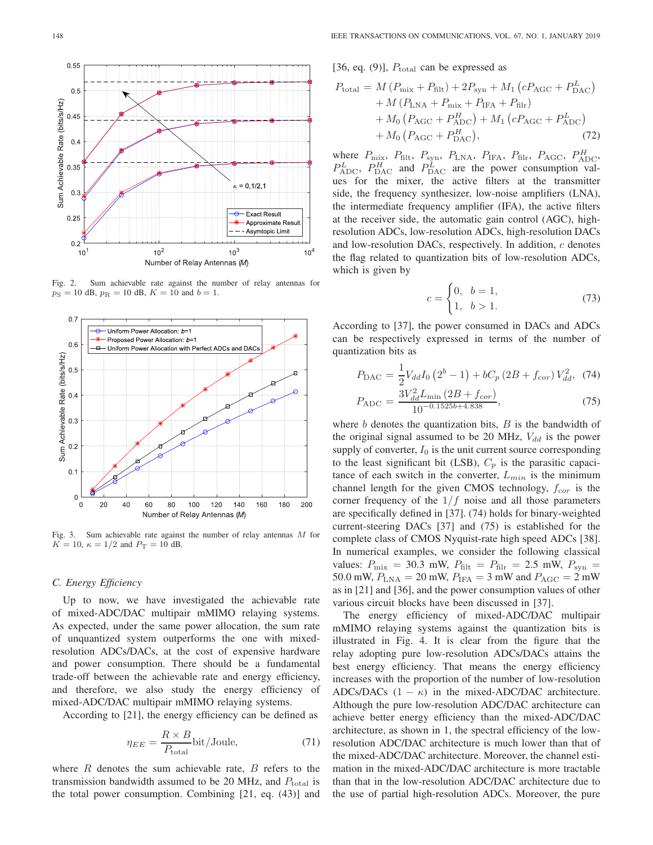

Fig. 2. Sum achievable rate against the number of relay antennas for  $p_S = 10$  dB,  $p_R = 10$  dB,  $K = 10$  and  $b = 1$ .



Fig. 3. Sum achievable rate against the number of relay antennas M for  $K = 10$ ,  $\kappa = 1/2$  and  $P_T = 10$  dB.

#### *C. Energy Efficiency*

Up to now, we have investigated the achievable rate of mixed-ADC/DAC multipair mMIMO relaying systems. As expected, under the same power allocation, the sum rate of unquantized system outperforms the one with mixedresolution ADCs/DACs, at the cost of expensive hardware and power consumption. There should be a fundamental trade-off between the achievable rate and energy efficiency, and therefore, we also study the energy efficiency of mixed-ADC/DAC multipair mMIMO relaying systems.

According to [21], the energy efficiency can be defined as

$$
\eta_{EE} = \frac{R \times B}{P_{\text{total}}} \text{bit/Joule},\tag{71}
$$

where  $R$  denotes the sum achievable rate,  $B$  refers to the transmission bandwidth assumed to be 20 MHz, and  $P_{total}$  is the total power consumption. Combining [21, eq. (43)] and [36, eq. (9)],  $P_{\text{total}}$  can be expressed as

$$
P_{\text{total}} = M (P_{\text{mix}} + P_{\text{filt}}) + 2P_{\text{syn}} + M_1 (cP_{\text{AGC}} + P_{\text{DAC}}^{L}) + M (P_{\text{LNA}} + P_{\text{mix}} + P_{\text{IFA}} + P_{\text{filt}}) + M_0 (P_{\text{AGC}} + P_{\text{ADC}}^{H}) + M_1 (cP_{\text{AGC}} + P_{\text{ADC}}^{L}) + M_0 (P_{\text{AGC}} + P_{\text{DAC}}^{H}),
$$
(72)

where  $P_{\text{mix}}$ ,  $P_{\text{filt}}$ ,  $P_{\text{syn}}$ ,  $P_{\text{LNA}}$ ,  $P_{\text{IFA}}$ ,  $P_{\text{filt}}$ ,  $P_{\text{AGC}}$ ,  $P_{\text{ADC}}^H$  $P_{\text{ADC}}^L$ ,  $P_{\text{DAC}}^H$  and  $P_{\text{DAC}}^L$  are the power consumption values for the mixer, the active filters at the transmitter side, the frequency synthesizer, low-noise amplifiers (LNA), the intermediate frequency amplifier (IFA), the active filters at the receiver side, the automatic gain control (AGC), highresolution ADCs, low-resolution ADCs, high-resolution DACs and low-resolution DACs, respectively. In addition, c denotes the flag related to quantization bits of low-resolution ADCs, which is given by

$$
c = \begin{cases} 0, & b = 1, \\ 1, & b > 1. \end{cases}
$$
 (73)

According to [37], the power consumed in DACs and ADCs can be respectively expressed in terms of the number of quantization bits as

$$
P_{\text{DAC}} = \frac{1}{2} V_{dd} I_0 \left( 2^b - 1 \right) + b C_p \left( 2B + f_{cor} \right) V_{dd}^2, \tag{74}
$$

$$
P_{\text{ADC}} = \frac{3V_{dd}^2 L_{\text{min}} \left(2B + f_{cor}\right)}{10^{-0.1525b + 4.838}},\tag{75}
$$

where  $b$  denotes the quantization bits,  $B$  is the bandwidth of the original signal assumed to be 20 MHz,  $V_{dd}$  is the power supply of converter,  $I_0$  is the unit current source corresponding to the least significant bit (LSB),  $C_p$  is the parasitic capacitance of each switch in the converter,  $L_{min}$  is the minimum channel length for the given CMOS technology,  $f_{cor}$  is the corner frequency of the  $1/f$  noise and all those parameters are specifically defined in [37]. (74) holds for binary-weighted current-steering DACs [37] and (75) is established for the complete class of CMOS Nyquist-rate high speed ADCs [38]. In numerical examples, we consider the following classical values:  $P_{\text{mix}} = 30.3 \text{ mW}, P_{\text{filt}} = P_{\text{filt}} = 2.5 \text{ mW}, P_{\text{syn}} =$ 50.0 mW,  $P_{\text{LNA}} = 20$  mW,  $P_{\text{IFA}} = 3$  mW and  $P_{\text{AGC}} = 2$  mW as in [21] and [36], and the power consumption values of other various circuit blocks have been discussed in [37].

The energy efficiency of mixed-ADC/DAC multipair mMIMO relaying systems against the quantization bits is illustrated in Fig. 4. It is clear from the figure that the relay adopting pure low-resolution ADCs/DACs attains the best energy efficiency. That means the energy efficiency increases with the proportion of the number of low-resolution ADCs/DACs  $(1 - \kappa)$  in the mixed-ADC/DAC architecture. Although the pure low-resolution ADC/DAC architecture can achieve better energy efficiency than the mixed-ADC/DAC architecture, as shown in 1, the spectral efficiency of the lowresolution ADC/DAC architecture is much lower than that of the mixed-ADC/DAC architecture. Moreover, the channel estimation in the mixed-ADC/DAC architecture is more tractable than that in the low-resolution ADC/DAC architecture due to the use of partial high-resolution ADCs. Moreover, the pure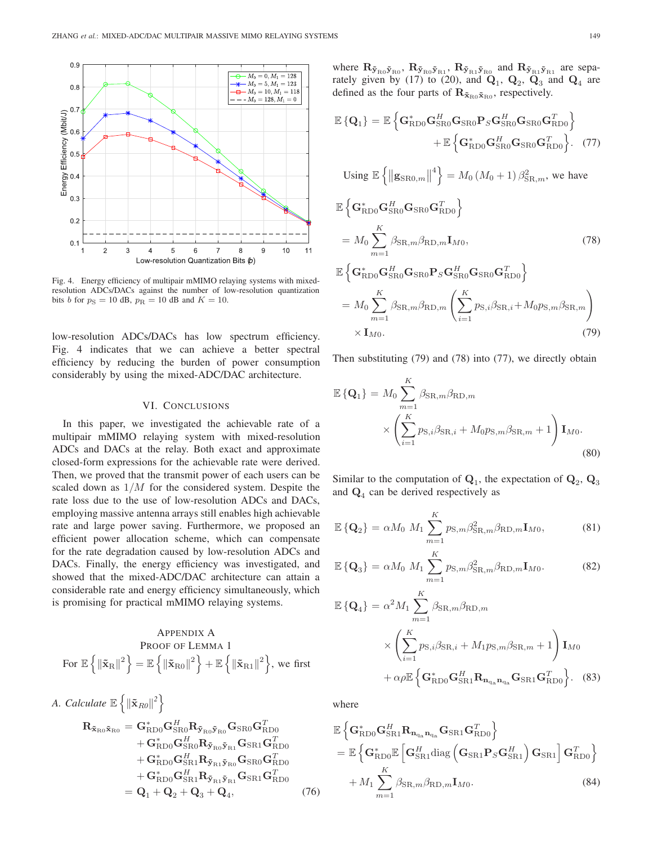

Fig. 4. Energy efficiency of multipair mMIMO relaying systems with mixedresolution ADCs/DACs against the number of low-resolution quantization bits b for  $p<sub>S</sub> = 10$  dB,  $p<sub>R</sub> = 10$  dB and  $K = 10$ .

low-resolution ADCs/DACs has low spectrum efficiency. Fig. 4 indicates that we can achieve a better spectral efficiency by reducing the burden of power consumption considerably by using the mixed-ADC/DAC architecture.

## VI. CONCLUSIONS

In this paper, we investigated the achievable rate of a multipair mMIMO relaying system with mixed-resolution ADCs and DACs at the relay. Both exact and approximate closed-form expressions for the achievable rate were derived. Then, we proved that the transmit power of each users can be scaled down as  $1/M$  for the considered system. Despite the rate loss due to the use of low-resolution ADCs and DACs, employing massive antenna arrays still enables high achievable rate and large power saving. Furthermore, we proposed an efficient power allocation scheme, which can compensate for the rate degradation caused by low-resolution ADCs and DACs. Finally, the energy efficiency was investigated, and showed that the mixed-ADC/DAC architecture can attain a considerable rate and energy efficiency simultaneously, which is promising for practical mMIMO relaying systems.

$$
\begin{array}{c} \text{APPENDIX A} \\ \text{PROOF of LEMMA 1} \\ \text{For } \mathbb{E}\left\{\left\|\tilde{\mathbf{x}}_{\mathrm{R}}\right\|^{2}\right\}=\mathbb{E}\left\{\left\|\tilde{\mathbf{x}}_{\mathrm{R}0}\right\|^{2}\right\}+\mathbb{E}\left\{\left\|\tilde{\mathbf{x}}_{\mathrm{R}1}\right\|^{2}\right\}, \text{ we first} \end{array}
$$

A. Calculate 
$$
\mathbb{E}\left\{\|\tilde{\mathbf{x}}_{R0}\|^2\right\}
$$
  
\n
$$
\mathbf{R}_{\tilde{\mathbf{x}}_{R0}\tilde{\mathbf{x}}_{R0}} = \mathbf{G}_{RDD}^* \mathbf{G}_{SR0}^H \mathbf{R}_{\tilde{\mathbf{y}}_{R0}\tilde{\mathbf{y}}_{R0}} \mathbf{G}_{SR0} \mathbf{G}_{RD0}^T + \mathbf{G}_{RDD}^* \mathbf{G}_{SR0} \mathbf{G}_{RD0}^T \mathbf{H}_{RD0}^T + \mathbf{G}_{RD0}^* \mathbf{G}_{SR1} \mathbf{R}_{\tilde{\mathbf{y}}_{R1}\tilde{\mathbf{y}}_{R0}} \mathbf{G}_{SR0} \mathbf{G}_{RD0}^T + \mathbf{G}_{RD0}^* \mathbf{G}_{SR1}^H \mathbf{R}_{\tilde{\mathbf{y}}_{R1}\tilde{\mathbf{y}}_{R1}} \mathbf{G}_{SR1} \mathbf{G}_{RD0}^T = \mathbf{Q}_1 + \mathbf{Q}_2 + \mathbf{Q}_3 + \mathbf{Q}_4, \qquad (76)
$$

where  $\mathbf{R}_{\tilde{\mathbf{y}}_{\text{R}0}\tilde{\mathbf{y}}_{\text{R}0}}$ ,  $\mathbf{R}_{\tilde{\mathbf{y}}_{\text{R}1}}$ ,  $\mathbf{R}_{\tilde{\mathbf{y}}_{\text{R}1}}$  and  $\mathbf{R}_{\tilde{\mathbf{y}}_{\text{R}1}}$  are separately given by (17) to (20) and **O** and **O** and **O** are rately given by (17) to (20), and  $\mathbf{Q}_1$ ,  $\mathbf{Q}_2$ ,  $\mathbf{Q}_3$  and  $\mathbf{Q}_4$  are defined as the four parts of  $\mathbf{R}_{\tilde{\mathbf{x}}_{\text{R0}} \tilde{\mathbf{x}}_{\text{R0}}}$ , respectively.

$$
\mathbb{E}\left\{\mathbf{Q}_{1}\right\} = \mathbb{E}\left\{\mathbf{G}_{\text{RDO}}^{*}\mathbf{G}_{\text{SRO}}^{H}\mathbf{G}_{\text{SRO}}\mathbf{P}_{S}\mathbf{G}_{\text{SRO}}^{H}\mathbf{G}_{\text{SRO}}\mathbf{G}_{\text{RDO}}^{T}\right\} + \mathbb{E}\left\{\mathbf{G}_{\text{RDO}}^{*}\mathbf{G}_{\text{SRO}}^{H}\mathbf{G}_{\text{SRO}}\mathbf{G}_{\text{RDO}}^{T}\right\}.
$$
 (77)

Using 
$$
\mathbb{E}\left\{\|\mathbf{g}_{\text{S}\text{R0},m}\|^4\right\} = M_0 \left(M_0 + 1\right) \beta_{\text{SR},m}^2
$$
, we have  
\n
$$
\mathbb{E}\left\{\mathbf{G}_{\text{R}\text{D0}}^* \mathbf{G}_{\text{S}\text{R0}}^H \mathbf{G}_{\text{S}\text{R0}} \mathbf{G}_{\text{R}\text{D0}}^T\right\}
$$
\n
$$
= M_0 \sum_{m=1}^K \beta_{\text{SR},m} \beta_{\text{RD},m} \mathbf{I}_{M0}, \tag{78}
$$
\n
$$
\mathbb{E}\left\{\mathbf{G}_{\text{R}\text{D0}}^* \mathbf{G}_{\text{S}\text{R0}}^H \mathbf{G}_{\text{S}\text{R0}} \mathbf{P}_S \mathbf{G}_{\text{S}\text{R0}}^H \mathbf{G}_{\text{S}\text{R0}} \mathbf{G}_{\text{R}\text{D0}}^T\right\}
$$

$$
= M_0 \sum_{m=1}^{K} \beta_{\text{SR},m} \beta_{\text{RD},m} \left( \sum_{i=1}^{K} p_{\text{S},i} \beta_{\text{SR},i} + M_0 p_{\text{S},m} \beta_{\text{SR},m} \right) \times \mathbf{I}_{M0}.
$$
 (79)

Then substituting (79) and (78) into (77), we directly obtain

$$
\mathbb{E}\left\{\mathbf{Q}_{1}\right\} = M_{0} \sum_{m=1}^{K} \beta_{\text{SR},m} \beta_{\text{RD},m}
$$

$$
\times \left(\sum_{i=1}^{K} p_{\text{S},i} \beta_{\text{SR},i} + M_{0} p_{\text{S},m} \beta_{\text{SR},m} + 1\right) \mathbf{I}_{M0}.
$$
(80)

Similar to the computation of  $\mathbf{Q}_1$ , the expectation of  $\mathbf{Q}_2$ ,  $\mathbf{Q}_3$ and  $\mathbf{Q}_4$  can be derived respectively as

$$
\mathbb{E}\left\{\mathbf{Q}_2\right\} = \alpha M_0 \ M_1 \sum_{m=1}^{K} p_{\mathbf{S},m} \beta_{\mathbf{S}\mathbf{R},m}^2 \beta_{\mathbf{R}\mathbf{D},m} \mathbf{I}_{M0},\tag{81}
$$

$$
\mathbb{E}\left\{\mathbf{Q}_3\right\} = \alpha M_0 \ M_1 \sum_{m=1}^{K} p_{\mathbf{S},m} \beta_{\mathbf{S}\mathbf{R},m}^2 \beta_{\mathbf{R}\mathbf{D},m} \mathbf{I}_{M0}.
$$
 (82)

$$
\mathbb{E}\left\{\mathbf{Q}_{4}\right\} = \alpha^{2} M_{1} \sum_{m=1}^{K} \beta_{\text{SR},m} \beta_{\text{RD},m}
$$

$$
\times \left(\sum_{i=1}^{K} p_{\text{S},i} \beta_{\text{SR},i} + M_{1} p_{\text{S},m} \beta_{\text{SR},m} + 1\right) \mathbf{I}_{M0}
$$

$$
+ \alpha \rho \mathbb{E}\left\{\mathbf{G}_{\text{RD}0}^{*} \mathbf{G}_{\text{SR}1}^{H} \mathbf{R}_{\mathbf{n}_{\text{qa}}} \mathbf{G}_{\text{SR}1} \mathbf{G}_{\text{RD}0}^{T}\right\}. (83)
$$

where

$$
\mathbb{E}\left\{\mathbf{G}_{\text{RD}0}^{*}\mathbf{G}_{\text{SR}1}^{H}\mathbf{R}_{\mathbf{n}_{\text{qa}}\mathbf{n}_{\text{qa}}}\mathbf{G}_{\text{SR}1}\mathbf{G}_{\text{RD}0}^{T}\right\}
$$
\n
$$
= \mathbb{E}\left\{\mathbf{G}_{\text{RD}0}^{*}\mathbb{E}\left[\mathbf{G}_{\text{SR}1}^{H}\text{diag}\left(\mathbf{G}_{\text{SR}1}\mathbf{P}_{S}\mathbf{G}_{\text{SR}1}^{H}\right)\mathbf{G}_{\text{SR}1}\right]\mathbf{G}_{\text{RD}0}^{T}\right\}
$$
\n
$$
+ M_{1} \sum_{m=1}^{K} \beta_{\text{SR},m} \beta_{\text{RD},m} \mathbf{I}_{M0}.
$$
\n(84)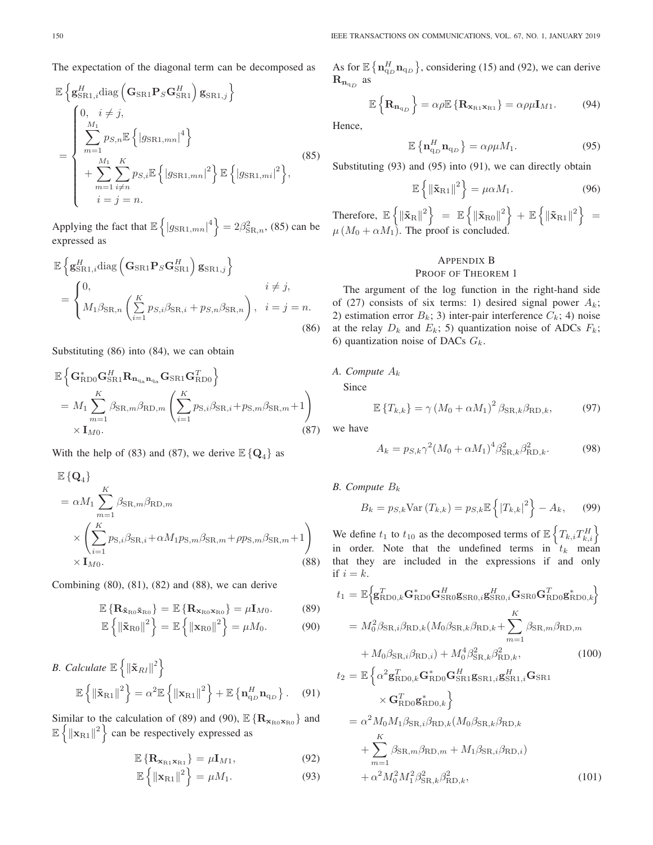The expectation of the diagonal term can be decomposed as

$$
\mathbb{E}\left\{\mathbf{g}_{\text{SR1},i}^{H}\text{diag}\left(\mathbf{G}_{\text{SR1}}\mathbf{P}_{S}\mathbf{G}_{\text{SR1}}^{H}\right)\mathbf{g}_{\text{SR1},j}\right\}\n=\n\begin{cases}\n0, i \neq j, \\
\sum_{m=1}^{M_{1}} p_{S,n}\mathbb{E}\left\{|g_{\text{SR1},mn}|^{4}\right\} \\
+ \sum_{m=1}^{M_{1}} \sum_{i\neq n} p_{S,i}\mathbb{E}\left\{|g_{\text{SR1},mn}|^{2}\right\}\mathbb{E}\left\{|g_{\text{SR1},mi}|^{2}\right\}, \\
i=j=n.\n\end{cases}
$$
\n(85)

Applying the fact that  $\mathbb{E}\left\{|g_{\text{SR1},mn}|^4\right\} = 2\beta_{\text{SR},n}^2$ , (85) can be expressed as

$$
\mathbb{E}\left\{\mathbf{g}_{\text{SR1},i}^{H}\text{diag}\left(\mathbf{G}_{\text{SR1}}\mathbf{P}_{S}\mathbf{G}_{\text{SR1}}^{H}\right)\mathbf{g}_{\text{SR1},j}\right\}\n= \n\begin{cases}\n0, & i \neq j, \\
M_{1}\beta_{\text{SR},n}\left(\sum_{i=1}^{K}p_{S,i}\beta_{\text{SR},i} + p_{S,n}\beta_{\text{SR},n}\right), & i = j = n.\n\end{cases}
$$
\n(86)

Substituting (86) into (84), we can obtain

$$
\mathbb{E}\left\{\mathbf{G}_{\text{RDO}}^{*}\mathbf{G}_{\text{SRI}}^{H}\mathbf{R}_{\mathbf{n}_{\text{q}_{\text{a}}}\mathbf{n}_{\text{q}_{\text{a}}}}\mathbf{G}_{\text{SRI}}\mathbf{G}_{\text{RDO}}^{T}\right\}
$$
\n
$$
= M_{1} \sum_{m=1}^{K} \beta_{\text{SR},m} \beta_{\text{RD},m} \left(\sum_{i=1}^{K} p_{\text{S},i} \beta_{\text{SR},i} + p_{\text{S},m} \beta_{\text{SR},m} + 1\right)
$$
\n
$$
\times \mathbf{I}_{M0}.
$$
\n(87)

With the help of (83) and (87), we derive  $\mathbb{E} \{ \mathbf{Q}_4 \}$  as

$$
\mathbb{E}\left\{\mathbf{Q}_{4}\right\} \n= \alpha M_{1} \sum_{m=1}^{K} \beta_{\text{SR},m} \beta_{\text{RD},m} \n\times \left(\sum_{i=1}^{K} p_{\text{S},i} \beta_{\text{SR},i} + \alpha M_{1} p_{\text{S},m} \beta_{\text{SR},m} + \rho p_{\text{S},m} \beta_{\text{SR},m} + 1\right) \n\times \mathbf{I}_{M0}.
$$
\n(88)

Combining (80), (81), (82) and (88), we can derive

$$
\mathbb{E}\left\{\mathbf{R}_{\tilde{\mathbf{x}}_{\text{R}0}\tilde{\mathbf{x}}_{\text{R}0}}\right\} = \mathbb{E}\left\{\mathbf{R}_{\mathbf{x}_{\text{R}0}\mathbf{x}_{\text{R}0}}\right\} = \mu\mathbf{I}_{M0}.\tag{89}
$$

$$
\mathbb{E}\left\{\left\|\tilde{\mathbf{x}}_{\text{RO}}\right\|^2\right\} = \mathbb{E}\left\{\left\|\mathbf{x}_{\text{RO}}\right\|^2\right\} = \mu M_0. \tag{90}
$$

B. Calculate 
$$
\mathbb{E}\left\{\|\tilde{\mathbf{x}}_{Rl}\|^2\right\}
$$
  

$$
\mathbb{E}\left\{\|\tilde{\mathbf{x}}_{R1}\|^2\right\} = \alpha^2 \mathbb{E}\left\{\|\mathbf{x}_{R1}\|^2\right\} + \mathbb{E}\left\{\mathbf{n}_{q_D}^H \mathbf{n}_{q_D}\right\}.
$$
 (91)

Similar to the calculation of (89) and (90),  $\mathbb{E} \{ \mathbf{R}_{\mathbf{x}_{\text{R0}} \mathbf{x}_{\text{R0}}} \}$  and  $\mathbb{E}\left\{\|\mathbf{x}_{\text{R1}}\|^2\right\}$  can be respectively expressed as

$$
\mathbb{E}\left\{\mathbf{R}_{\mathbf{x}_{\text{R1}}\mathbf{x}_{\text{R1}}}\right\} = \mu \mathbf{I}_{M1},\tag{92}
$$

$$
\mathbb{E}\left\{\left\|\mathbf{x}_{\mathrm{R1}}\right\|^2\right\} = \mu M_1. \tag{93}
$$

As for  $\mathbb{E} \left\{ \mathbf{n}_{q_D}^H \mathbf{n}_{q_D} \right\}$ , considering (15) and (92), we can derive  $\mathbf{R}_{\mathbf{n}_{\text{q}_D}}$  as

$$
\mathbb{E}\left\{\mathbf{R}_{\mathbf{n}_{q_D}}\right\} = \alpha \rho \mathbb{E}\left\{\mathbf{R}_{\mathbf{x}_{R1}\mathbf{x}_{R1}}\right\} = \alpha \rho \mu \mathbf{I}_{M1}.
$$
 (94)

Hence,

$$
\mathbb{E}\left\{\mathbf{n}_{\mathbf{q}_D}^H\mathbf{n}_{\mathbf{q}_D}\right\} = \alpha \rho \mu M_1. \tag{95}
$$

Substituting (93) and (95) into (91), we can directly obtain

$$
\mathbb{E}\left\{\left\|\tilde{\mathbf{x}}_{\text{R1}}\right\|^2\right\} = \mu \alpha M_1. \tag{96}
$$

Therefore,  $\mathbb{E}\left\{\|\tilde{\mathbf{x}}_{\text{R}}\|^2\right\} = \mathbb{E}\left\{\|\tilde{\mathbf{x}}_{\text{R}0}\|^2\right\} + \mathbb{E}\left\{\|\tilde{\mathbf{x}}_{\text{R}1}\|^2\right\} = \mathbb{E}\left\{\|\tilde{\mathbf{x}}_{\text{R}2}\|^2\right\}$  $\mu (M_0 + \alpha M_1)$ . The proof is concluded.

# APPENDIX B

# PROOF OF THEOREM 1

The argument of the log function in the right-hand side of (27) consists of six terms: 1) desired signal power  $A_k$ ; 2) estimation error  $B_k$ ; 3) inter-pair interference  $C_k$ ; 4) noise at the relay  $D_k$  and  $E_k$ ; 5) quantization noise of ADCs  $F_k$ ; 6) quantization noise of DACs  $G_k$ .

# *A. Compute* A<sup>k</sup>

Since

$$
\mathbb{E}\left\{T_{k,k}\right\} = \gamma \left(M_0 + \alpha M_1\right)^2 \beta_{\text{SR},k} \beta_{\text{RD},k},\tag{97}
$$

we have

$$
A_k = p_{S,k} \gamma^2 (M_0 + \alpha M_1)^4 \beta_{\text{SR},k}^2 \beta_{\text{RD},k}^2.
$$
 (98)

*B. Compute* B<sup>k</sup>

$$
B_k = p_{S,k} \text{Var}(T_{k,k}) = p_{S,k} \mathbb{E}\left\{ |T_{k,k}|^2 \right\} - A_k, \quad (99)
$$

We define  $t_1$  to  $t_{10}$  as the decomposed terms of  $\mathbb{E} \left\{ T_{k,i} T_{k,i}^H \right\}$ in order. Note that the undefined terms in  $t_k$  mean that they are included in the expressions if and only if  $i = k$ .

$$
t_{1} = \mathbb{E}\Big\{\mathbf{g}_{\text{RD0},k}^{T}\mathbf{G}_{\text{RD0}}^{*}\mathbf{G}_{\text{SR0}}^{H}\mathbf{g}_{\text{SR0},i}\mathbf{g}_{\text{SR0}}^{H}\mathbf{G}_{\text{SR0}}\mathbf{G}_{\text{RD0}}^{T}\mathbf{g}_{\text{RD0},k}^{*}\Big\}
$$
  
\n
$$
= M_{0}^{2}\beta_{\text{SR},i}\beta_{\text{RD},k}(M_{0}\beta_{\text{SR},k}\beta_{\text{RD},k} + \sum_{m=1}^{K} \beta_{\text{SR},m}\beta_{\text{RD},m}
$$
  
\n
$$
+ M_{0}\beta_{\text{SR},i}\beta_{\text{RD},i}) + M_{0}^{4}\beta_{\text{SR},k}^{2}\beta_{\text{RD},k}^{2},
$$
  
\n
$$
t_{2} = \mathbb{E}\Big\{\alpha^{2}\mathbf{g}_{\text{RD0},k}^{T}\mathbf{G}_{\text{RD0}}^{*}\mathbf{G}_{\text{SR1}}^{H}\mathbf{g}_{\text{SR1},i}\mathbf{g}_{\text{SR1},i}^{H}\mathbf{G}_{\text{SR1}}\Big\}
$$
  
\n
$$
\times \mathbf{G}_{\text{RD0}}^{T}\mathbf{g}_{\text{RD0},k}^{*}\Big\}
$$
 (100)

$$
= \alpha^2 M_0 M_1 \beta_{\text{SR},i} \beta_{\text{RD},k} (M_0 \beta_{\text{SR},k} \beta_{\text{RD},k} + \sum_{m=1}^K \beta_{\text{SR},m} \beta_{\text{RD},m} + M_1 \beta_{\text{SR},i} \beta_{\text{RD},i}) + \alpha^2 M_0^2 M_1^2 \beta_{\text{SR},k}^2 \beta_{\text{RD},k}^2, \qquad (101)
$$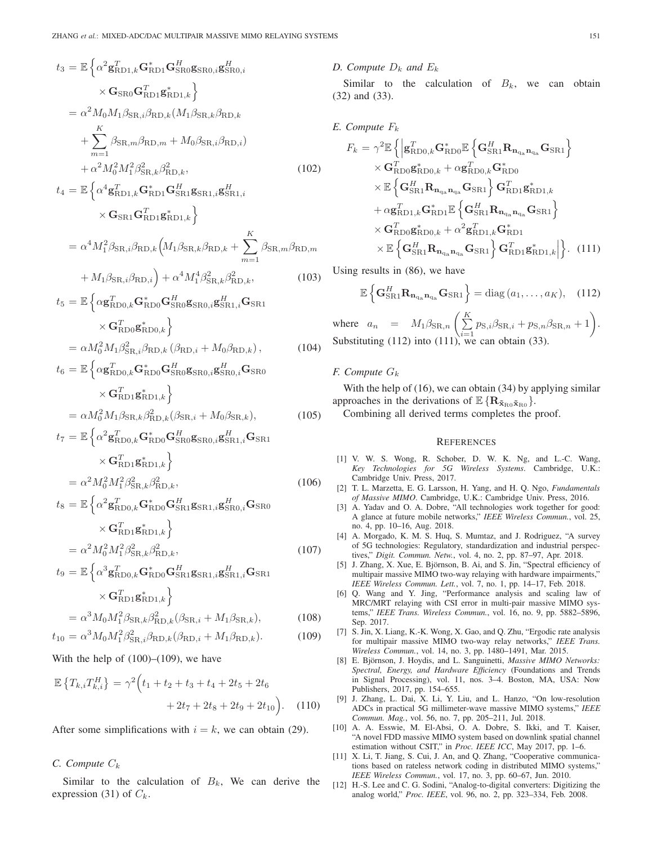$$
t_3 = \mathbb{E} \left\{ \alpha^2 \mathbf{g}_{RD1,k}^T \mathbf{G}_{RD1}^* \mathbf{G}_{RD0}^H \mathbf{g}_{SR0,i}^H \mathbf{g}_{SR0,i}^H \right\}
$$
  
\n
$$
\times \mathbf{G}_{SR0} \mathbf{G}_{RD1}^T \mathbf{g}_{RD1,k}^* \right\}
$$
  
\n
$$
= \alpha^2 M_0 M_1 \beta_{SR,i} \beta_{RD,k} (M_1 \beta_{SR,k} \beta_{RD,k} )
$$
  
\n
$$
+ \sum_{m=1}^K \beta_{SR,m} \beta_{RD,m} + M_0 \beta_{SR,i} \beta_{RD,i} )
$$
  
\n
$$
+ \alpha^2 M_0^2 M_1^2 \beta_{SR,k}^2 \beta_{RD,k}^2 ,
$$
  
\n
$$
t_4 = \mathbb{E} \left\{ \alpha^4 \mathbf{g}_{RD1,k}^T \mathbf{G}_{RD1}^* \mathbf{G}_{SR1}^H \mathbf{g}_{SR1,i} \mathbf{g}_{SR1,i}^H \right\}
$$
  
\n
$$
\times \mathbf{G}_{SR1} \mathbf{G}_{RD1}^T \mathbf{g}_{RD1,k}^* \right\}
$$
  
\n
$$
= \alpha^4 M_1^2 \beta_{SR,i} \beta_{RD,k} (M_1 \beta_{SR,k} \beta_{RD,k} + \sum_{m=1}^K \beta_{SR,m} \beta_{RD,m} )
$$
  
\n
$$
+ M_1 \beta_{SR,i} \beta_{RD,i} \right) + \alpha^4 M_1^4 \beta_{SR,k}^2 \beta_{RD,k}^2 ,
$$
  
\n
$$
t_5 = \mathbb{E} \left\{ \alpha \mathbf{g}_{RD0,k}^T \mathbf{G}_{RD0}^* \mathbf{G}_{SR0}^H \mathbf{g}_{SR0,i} \mathbf{g}_{SR1,i}^H \mathbf{G}_{SR1} )
$$
  
\n
$$
\times \mathbf{G}_{RD0}^T \mathbf{g}_{RD0,k}^* \right\}
$$
  
\n
$$
= \alpha M_0^2 M_1 \beta_{SR,i}^2 \beta_{RD,k} (R_{RD,i} + M_0 \beta_{RD,k}),
$$
  
\n
$$
t_6 = \mathbb{E} \left\{ \alpha \mathbf
$$

$$
= \alpha M_0^2 M_1 \beta_{\text{SR},k} \beta_{\text{RD},k}^2 (\beta_{\text{SR},i} + M_0 \beta_{\text{SR},k}), \tag{105}
$$

$$
t_7 = \mathbb{E}\left\{\alpha^2 \mathbf{g}_{\text{RDO},k}^T \mathbf{G}_{\text{RDO}}^* \mathbf{G}_{\text{SRO}}^H \mathbf{g}_{\text{SRA},i}^H \mathbf{G}_{\text{SRI}}\right.\times \mathbf{G}_{\text{RDI}}^T \mathbf{g}_{\text{RDI},k}^* \right\}= \alpha^2 M_0^2 M_1^2 \beta_{\text{SR},k}^2 \beta_{\text{RD},k}^2, \tag{106}
$$

$$
t_8 = \mathbb{E}\left\{\alpha^2 \mathbf{g}_{\text{RDO},k}^T \mathbf{G}_{\text{RDO}}^* \mathbf{G}_{\text{SR1}}^H \mathbf{g}_{\text{SR1},i} \mathbf{g}_{\text{SR0},i}^H \mathbf{G}_{\text{SR0}}\right\}
$$

$$
\times \mathbf{G}_{\text{RD1}}^T \mathbf{g}_{\text{RD1},k}^* \right\}
$$

$$
= \alpha^2 M_0^2 M_1^2 \beta_{\text{SR},k}^2 \beta_{\text{RD},k}^2,\tag{107}
$$

$$
t_9 = \mathbb{E}\left\{\alpha^3 \mathbf{g}_{\text{RDO},k}^T \mathbf{G}_{\text{RDO}}^* \mathbf{G}_{\text{SR1}}^H \mathbf{g}_{\text{SR1},i} \mathbf{g}_{\text{SR1},i}^H \mathbf{G}_{\text{SR1}}
$$

$$
\times \mathbf{G}_{\text{RD1}}^T \mathbf{g}_{\text{RD1},k}^*
$$
  
=  $\alpha^3 M_0 M_1^2 \beta_{\text{SR},k} \beta_{\text{RD},k}^2 (\beta_{\text{SR},i} + M_1 \beta_{\text{SR},k}),$  (108)

$$
t_{10} = \alpha^3 M_0 M_1^2 \beta_{\text{SR},i}^2 \beta_{\text{RD},k} (\beta_{\text{RD},i} + M_1 \beta_{\text{RD},k}).
$$
 (109)

With the help of  $(100)$ – $(109)$ , we have

$$
\mathbb{E}\left\{T_{k,i}T_{k,i}^H\right\} = \gamma^2 \Big(t_1 + t_2 + t_3 + t_4 + 2t_5 + 2t_6 + 2t_7 + 2t_8 + 2t_9 + 2t_{10}\Big). \tag{110}
$$

After some simplifications with  $i = k$ , we can obtain (29).

# $C.$  Compute  $C_k$

Similar to the calculation of  $B_k$ , We can derive the expression (31) of  $C_k$ .

#### *D.* Compute  $D_k$  and  $E_k$

Similar to the calculation of  $B_k$ , we can obtain (32) and (33).

E. Compute 
$$
F_k
$$

$$
F_k = \gamma^2 \mathbb{E} \left\{ \left| \mathbf{g}_{\text{RDO},k}^T \mathbf{G}_{\text{RDO}}^* \mathbb{E} \left\{ \mathbf{G}_{\text{SR1}}^H \mathbf{R}_{\mathbf{n}_{\text{qa}}} \mathbf{G}_{\text{SR1}} \right\} \right. \times \mathbf{G}_{\text{RDO}}^T \mathbf{g}_{\text{RDO},k}^* + \alpha \mathbf{g}_{\text{RDO},k}^T \mathbf{G}_{\text{RDO}}^* \times \mathbb{E} \left\{ \mathbf{G}_{\text{SR1}}^H \mathbf{R}_{\mathbf{n}_{\text{qa}}} \mathbf{n}_{\text{qa}}} \mathbf{G}_{\text{SR1}} \right\} \mathbf{G}_{\text{RD1}}^T \mathbf{g}_{\text{RD1},k}^* + \alpha \mathbf{g}_{\text{RD1},k}^T \mathbf{G}_{\text{RD1}}^* \mathbb{E} \left\{ \mathbf{G}_{\text{SR1}}^H \mathbf{R}_{\mathbf{n}_{\text{qa}}} \mathbf{n}_{\text{qa}}} \mathbf{G}_{\text{SR1}} \right\} \times \mathbf{G}_{\text{RDO}}^T \mathbf{g}_{\text{RDO},k}^* + \alpha^2 \mathbf{g}_{\text{RD1},k}^T \mathbf{G}_{\text{RD1}}^* \times \mathbb{E} \left\{ \mathbf{G}_{\text{SR1}}^H \mathbf{R}_{\mathbf{n}_{\text{qa}}} \mathbf{G}_{\text{SR1}} \right\} \mathbf{G}_{\text{RD1}}^T \mathbf{g}_{\text{RD1},k}^* \right\}. (111)
$$

Using results in (86), we have

$$
\mathbb{E}\left\{ \mathbf{G}_{\text{SR1}}^H \mathbf{R}_{\mathbf{n}_{\text{q}_{\text{a}}}\mathbf{n}_{\text{q}_{\text{a}}}} \mathbf{G}_{\text{SR1}} \right\} = \text{diag}\left(a_1, \dots, a_K\right), \quad (112)
$$

where  $a_n = M_1 \beta_{\text{SR},n} \left( \frac{K}{\sum_{n=1}^{N} n_n} \right)$  $\sum_{i=1}^{K} p_{\text{S},i} \beta_{\text{SR},i} + p_{\text{S},n} \beta_{\text{SR},n} + 1.$ Substituting (112) into (111), we can obtain (33).

## *F. Compute* G<sup>k</sup>

With the help of (16), we can obtain (34) by applying similar approaches in the derivations of  $\mathbb{E} \{ \mathbf{R}_{\tilde{\mathbf{x}}_{\text{R0}} \tilde{\mathbf{x}}_{\text{R0}}} \}$ .

Combining all derived terms completes the proof.

#### **REFERENCES**

- [1] V. W. S. Wong, R. Schober, D. W. K. Ng, and L.-C. Wang, *Key Technologies for 5G Wireless Systems*. Cambridge, U.K.: Cambridge Univ. Press, 2017.
- [2] T. L. Marzetta, E. G. Larsson, H. Yang, and H. Q. Ngo, *Fundamentals of Massive MIMO*. Cambridge, U.K.: Cambridge Univ. Press, 2016.
- [3] A. Yadav and O. A. Dobre, "All technologies work together for good: A glance at future mobile networks," *IEEE Wireless Commun.*, vol. 25, no. 4, pp. 10–16, Aug. 2018.
- [4] A. Morgado, K. M. S. Huq, S. Mumtaz, and J. Rodriguez, "A survey of 5G technologies: Regulatory, standardization and industrial perspectives," *Digit. Commun. Netw.*, vol. 4, no. 2, pp. 87–97, Apr. 2018.
- [5] J. Zhang, X. Xue, E. Björnson, B. Ai, and S. Jin, "Spectral efficiency of multipair massive MIMO two-way relaying with hardware impairments," *IEEE Wireless Commun. Lett.*, vol. 7, no. 1, pp. 14–17, Feb. 2018.
- [6] Q. Wang and Y. Jing, "Performance analysis and scaling law of MRC/MRT relaying with CSI error in multi-pair massive MIMO systems," *IEEE Trans. Wireless Commun.*, vol. 16, no. 9, pp. 5882–5896, Sep. 2017.
- [7] S. Jin, X. Liang, K.-K. Wong, X. Gao, and Q. Zhu, "Ergodic rate analysis for multipair massive MIMO two-way relay networks," *IEEE Trans. Wireless Commun.*, vol. 14, no. 3, pp. 1480–1491, Mar. 2015.
- [8] E. Björnson, J. Hoydis, and L. Sanguinetti, *Massive MIMO Networks: Spectral, Energy, and Hardware Efficiency* (Foundations and Trends in Signal Processing), vol. 11, nos. 3–4. Boston, MA, USA: Now Publishers, 2017, pp. 154–655.
- [9] J. Zhang, L. Dai, X. Li, Y. Liu, and L. Hanzo, "On low-resolution ADCs in practical 5G millimeter-wave massive MIMO systems," *IEEE Commun. Mag.*, vol. 56, no. 7, pp. 205–211, Jul. 2018.
- [10] A. A. Esswie, M. El-Absi, O. A. Dobre, S. Ikki, and T. Kaiser, "A novel FDD massive MIMO system based on downlink spatial channel estimation without CSIT," in *Proc. IEEE ICC*, May 2017, pp. 1–6.
- [11] X. Li, T. Jiang, S. Cui, J. An, and Q. Zhang, "Cooperative communications based on rateless network coding in distributed MIMO systems," *IEEE Wireless Commun.*, vol. 17, no. 3, pp. 60–67, Jun. 2010.
- [12] H.-S. Lee and C. G. Sodini, "Analog-to-digital converters: Digitizing the analog world," *Proc. IEEE*, vol. 96, no. 2, pp. 323–334, Feb. 2008.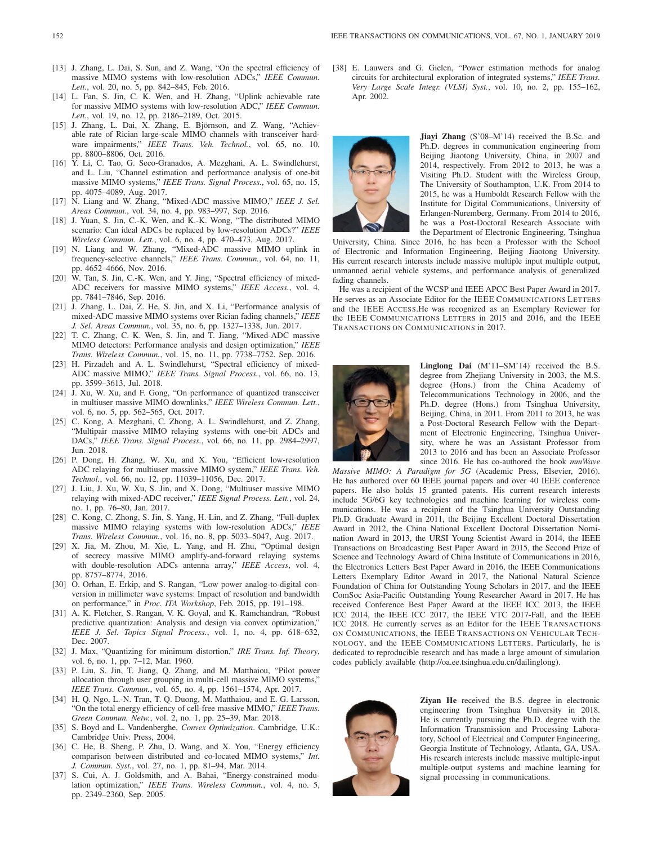- [13] J. Zhang, L. Dai, S. Sun, and Z. Wang, "On the spectral efficiency of massive MIMO systems with low-resolution ADCs," *IEEE Commun. Lett.*, vol. 20, no. 5, pp. 842–845, Feb. 2016.
- [14] L. Fan, S. Jin, C. K. Wen, and H. Zhang, "Uplink achievable rate for massive MIMO systems with low-resolution ADC," *IEEE Commun. Lett.*, vol. 19, no. 12, pp. 2186–2189, Oct. 2015.
- [15] J. Zhang, L. Dai, X. Zhang, E. Björnson, and Z. Wang, "Achievable rate of Rician large-scale MIMO channels with transceiver hardware impairments," *IEEE Trans. Veh. Technol.*, vol. 65, no. 10, pp. 8800–8806, Oct. 2016.
- [16] Y. Li, C. Tao, G. Seco-Granados, A. Mezghani, A. L. Swindlehurst, and L. Liu, "Channel estimation and performance analysis of one-bit massive MIMO systems," *IEEE Trans. Signal Process.*, vol. 65, no. 15, pp. 4075–4089, Aug. 2017.
- [17] N. Liang and W. Zhang, "Mixed-ADC massive MIMO," *IEEE J. Sel. Areas Commun.*, vol. 34, no. 4, pp. 983–997, Sep. 2016.
- [18] J. Yuan, S. Jin, C.-K. Wen, and K.-K. Wong, "The distributed MIMO scenario: Can ideal ADCs be replaced by low-resolution ADCs?" *IEEE Wireless Commun. Lett.*, vol. 6, no. 4, pp. 470–473, Aug. 2017.
- [19] N. Liang and W. Zhang, "Mixed-ADC massive MIMO uplink in frequency-selective channels," *IEEE Trans. Commun.*, vol. 64, no. 11, pp. 4652–4666, Nov. 2016.
- [20] W. Tan, S. Jin, C.-K. Wen, and Y. Jing, "Spectral efficiency of mixed-ADC receivers for massive MIMO systems," *IEEE Access.*, vol. 4, pp. 7841–7846, Sep. 2016.
- [21] J. Zhang, L. Dai, Z. He, S. Jin, and X. Li, "Performance analysis of mixed-ADC massive MIMO systems over Rician fading channels," *IEEE J. Sel. Areas Commun.*, vol. 35, no. 6, pp. 1327–1338, Jun. 2017.
- [22] T. C. Zhang, C. K. Wen, S. Jin, and T. Jiang, "Mixed-ADC massive MIMO detectors: Performance analysis and design optimization," *IEEE Trans. Wireless Commun.*, vol. 15, no. 11, pp. 7738–7752, Sep. 2016.
- [23] H. Pirzadeh and A. L. Swindlehurst, "Spectral efficiency of mixed-ADC massive MIMO," *IEEE Trans. Signal Process.*, vol. 66, no. 13, pp. 3599–3613, Jul. 2018.
- [24] J. Xu, W. Xu, and F. Gong, "On performance of quantized transceiver in multiuser massive MIMO downlinks," *IEEE Wireless Commun. Lett.*, vol. 6, no. 5, pp. 562–565, Oct. 2017.
- [25] C. Kong, A. Mezghani, C. Zhong, A. L. Swindlehurst, and Z. Zhang, "Multipair massive MIMO relaying systems with one-bit ADCs and DACs," *IEEE Trans. Signal Process.*, vol. 66, no. 11, pp. 2984–2997, Jun. 2018.
- [26] P. Dong, H. Zhang, W. Xu, and X. You, "Efficient low-resolution ADC relaying for multiuser massive MIMO system," *IEEE Trans. Veh. Technol.*, vol. 66, no. 12, pp. 11039–11056, Dec. 2017.
- [27] J. Liu, J. Xu, W. Xu, S. Jin, and X. Dong, "Multiuser massive MIMO relaying with mixed-ADC receiver," *IEEE Signal Process. Lett.*, vol. 24, no. 1, pp. 76–80, Jan. 2017.
- [28] C. Kong, C. Zhong, S. Jin, S. Yang, H. Lin, and Z. Zhang, "Full-duplex massive MIMO relaying systems with low-resolution ADCs," *IEEE Trans. Wireless Commun.*, vol. 16, no. 8, pp. 5033–5047, Aug. 2017.
- [29] X. Jia, M. Zhou, M. Xie, L. Yang, and H. Zhu, "Optimal design of secrecy massive MIMO amplify-and-forward relaying systems with double-resolution ADCs antenna array," *IEEE Access*, vol. 4, pp. 8757–8774, 2016.
- [30] O. Orhan, E. Erkip, and S. Rangan, "Low power analog-to-digital conversion in millimeter wave systems: Impact of resolution and bandwidth on performance," in *Proc. ITA Workshop*, Feb. 2015, pp. 191–198.
- [31] A. K. Fletcher, S. Rangan, V. K. Goyal, and K. Ramchandran, "Robust predictive quantization: Analysis and design via convex optimization," *IEEE J. Sel. Topics Signal Process.*, vol. 1, no. 4, pp. 618–632, Dec. 2007.
- [32] J. Max, "Quantizing for minimum distortion," *IRE Trans. Inf. Theory*, vol. 6, no. 1, pp. 7–12, Mar. 1960.
- [33] P. Liu, S. Jin, T. Jiang, Q. Zhang, and M. Matthaiou, "Pilot power allocation through user grouping in multi-cell massive MIMO systems," *IEEE Trans. Commun.*, vol. 65, no. 4, pp. 1561–1574, Apr. 2017.
- [34] H. Q. Ngo, L.-N. Tran, T. Q. Duong, M. Matthaiou, and E. G. Larsson, "On the total energy efficiency of cell-free massive MIMO," *IEEE Trans. Green Commun. Netw.*, vol. 2, no. 1, pp. 25–39, Mar. 2018.
- [35] S. Boyd and L. Vandenberghe, *Convex Optimization*. Cambridge, U.K.: Cambridge Univ. Press, 2004.
- [36] C. He, B. Sheng, P. Zhu, D. Wang, and X. You, "Energy efficiency comparison between distributed and co-located MIMO systems," *Int. J. Commun. Syst.*, vol. 27, no. 1, pp. 81–94, Mar. 2014.
- [37] S. Cui, A. J. Goldsmith, and A. Bahai, "Energy-constrained modulation optimization," *IEEE Trans. Wireless Commun.*, vol. 4, no. 5, pp. 2349–2360, Sep. 2005.

[38] E. Lauwers and G. Gielen, "Power estimation methods for analog circuits for architectural exploration of integrated systems," *IEEE Trans. Very Large Scale Integr. (VLSI) Syst.*, vol. 10, no. 2, pp. 155–162, Apr. 2002.



**Jiayi Zhang** (S'08–M'14) received the B.Sc. and Ph.D. degrees in communication engineering from Beijing Jiaotong University, China, in 2007 and 2014, respectively. From 2012 to 2013, he was a Visiting Ph.D. Student with the Wireless Group, The University of Southampton, U.K. From 2014 to 2015, he was a Humboldt Research Fellow with the Institute for Digital Communications, University of Erlangen-Nuremberg, Germany. From 2014 to 2016, he was a Post-Doctoral Research Associate with the Department of Electronic Engineering, Tsinghua

University, China. Since 2016, he has been a Professor with the School of Electronic and Information Engineering, Beijing Jiaotong University. His current research interests include massive multiple input multiple output, unmanned aerial vehicle systems, and performance analysis of generalized fading channels.

He was a recipient of the WCSP and IEEE APCC Best Paper Award in 2017. He serves as an Associate Editor for the IEEE COMMUNICATIONS LETTERS and the IEEE ACCESS.He was recognized as an Exemplary Reviewer for the IEEE COMMUNICATIONS LETTERS in 2015 and 2016, and the IEEE TRANSACTIONS ON COMMUNICATIONS in 2017.



**Linglong Dai** (M'11–SM'14) received the B.S. degree from Zhejiang University in 2003, the M.S. degree (Hons.) from the China Academy of Telecommunications Technology in 2006, and the Ph.D. degree (Hons.) from Tsinghua University, Beijing, China, in 2011. From 2011 to 2013, he was a Post-Doctoral Research Fellow with the Department of Electronic Engineering, Tsinghua University, where he was an Assistant Professor from 2013 to 2016 and has been an Associate Professor since 2016. He has co-authored the book *mmWave*

*Massive MIMO: A Paradigm for 5G* (Academic Press, Elsevier, 2016). He has authored over 60 IEEE journal papers and over 40 IEEE conference papers. He also holds 15 granted patents. His current research interests include 5G/6G key technologies and machine learning for wireless communications. He was a recipient of the Tsinghua University Outstanding Ph.D. Graduate Award in 2011, the Beijing Excellent Doctoral Dissertation Award in 2012, the China National Excellent Doctoral Dissertation Nomination Award in 2013, the URSI Young Scientist Award in 2014, the IEEE Transactions on Broadcasting Best Paper Award in 2015, the Second Prize of Science and Technology Award of China Institute of Communications in 2016, the Electronics Letters Best Paper Award in 2016, the IEEE Communications Letters Exemplary Editor Award in 2017, the National Natural Science Foundation of China for Outstanding Young Scholars in 2017, and the IEEE ComSoc Asia-Pacific Outstanding Young Researcher Award in 2017. He has received Conference Best Paper Award at the IEEE ICC 2013, the IEEE ICC 2014, the IEEE ICC 2017, the IEEE VTC 2017-Fall, and the IEEE ICC 2018. He currently serves as an Editor for the IEEE TRANSACTIONS ON COMMUNICATIONS, the IEEE TRANSACTIONS ON VEHICULAR TECH-NOLOGY, and the IEEE COMMUNICATIONS LETTERS. Particularly, he is dedicated to reproducible research and has made a large amount of simulation codes publicly available (http://oa.ee.tsinghua.edu.cn/dailinglong).



**Ziyan He** received the B.S. degree in electronic engineering from Tsinghua University in 2018. He is currently pursuing the Ph.D. degree with the Information Transmission and Processing Laboratory, School of Electrical and Computer Engineering, Georgia Institute of Technology, Atlanta, GA, USA. His research interests include massive multiple-input multiple-output systems and machine learning for signal processing in communications.